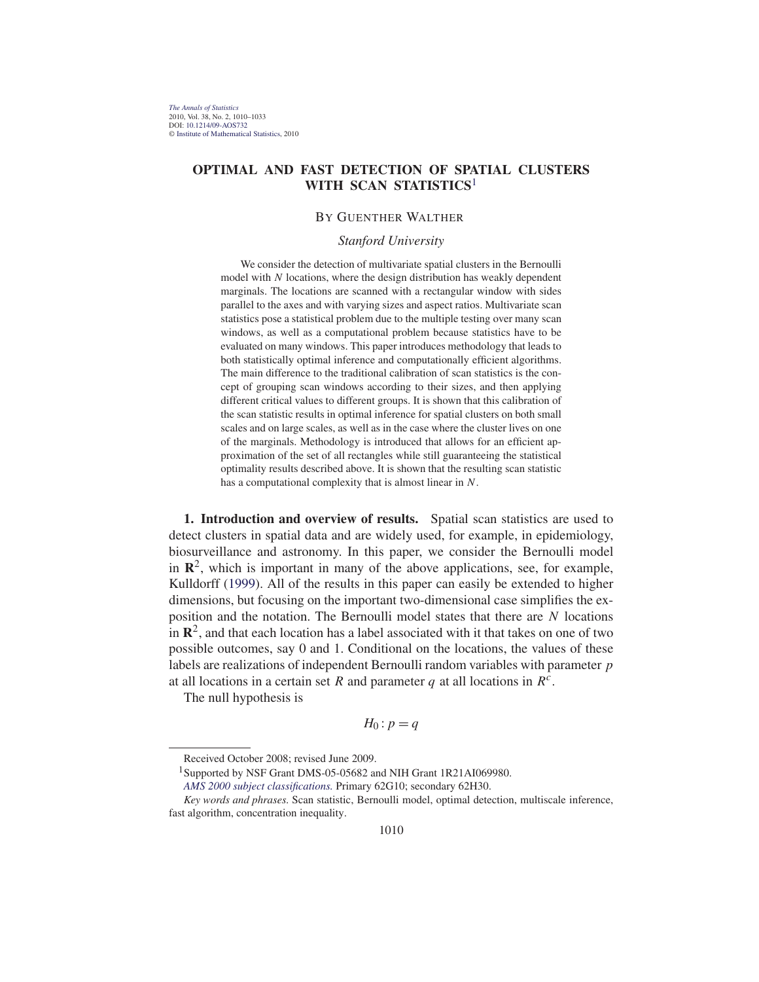# **OPTIMAL AND FAST DETECTION OF SPATIAL CLUSTERS WITH SCAN STATISTICS**<sup>1</sup>

## BY GUENTHER WALTHER

### *Stanford University*

We consider the detection of multivariate spatial clusters in the Bernoulli model with  $N$  locations, where the design distribution has weakly dependent marginals. The locations are scanned with a rectangular window with sides parallel to the axes and with varying sizes and aspect ratios. Multivariate scan statistics pose a statistical problem due to the multiple testing over many scan windows, as well as a computational problem because statistics have to be evaluated on many windows. This paper introduces methodology that leads to both statistically optimal inference and computationally efficient algorithms. The main difference to the traditional calibration of scan statistics is the concept of grouping scan windows according to their sizes, and then applying different critical values to different groups. It is shown that this calibration of the scan statistic results in optimal inference for spatial clusters on both small scales and on large scales, as well as in the case where the cluster lives on one of the marginals. Methodology is introduced that allows for an efficient approximation of the set of all rectangles while still guaranteeing the statistical optimality results described above. It is shown that the resulting scan statistic has a computational complexity that is almost linear in N.

**1. Introduction and overview of results.** Spatial scan statistics are used to detect clusters in spatial data and are widely used, for example, in epidemiology, biosurveillance and astronomy. In this paper, we consider the Bernoulli model in  $\mathbb{R}^2$ , which is important in many of the above applications, see, for example, Kulldorff (1999). All of the results in this paper can easily be extended to higher dimensions, but focusing on the important two-dimensional case simplifies the exposition and the notation. The Bernoulli model states that there are N locations in  $\mathbb{R}^2$ , and that each location has a label associated with it that takes on one of two possible outcomes, say 0 and 1. Conditional on the locations, the values of these labels are realizations of independent Bernoulli random variables with parameter p at all locations in a certain set R and parameter q at all locations in  $R<sup>c</sup>$ .

The null hypothesis is

$$
H_0: p=q
$$

<sup>1</sup>Supported by NSF Grant DMS-05-05682 and NIH Grant 1R21AI069980.

Received October 2008; revised June 2009.

*AMS 2000 subject classifications.* Primary 62G10; secondary 62H30.

*Key words and phrases.* Scan statistic, Bernoulli model, optimal detection, multiscale inference, fast algorithm, concentration inequality.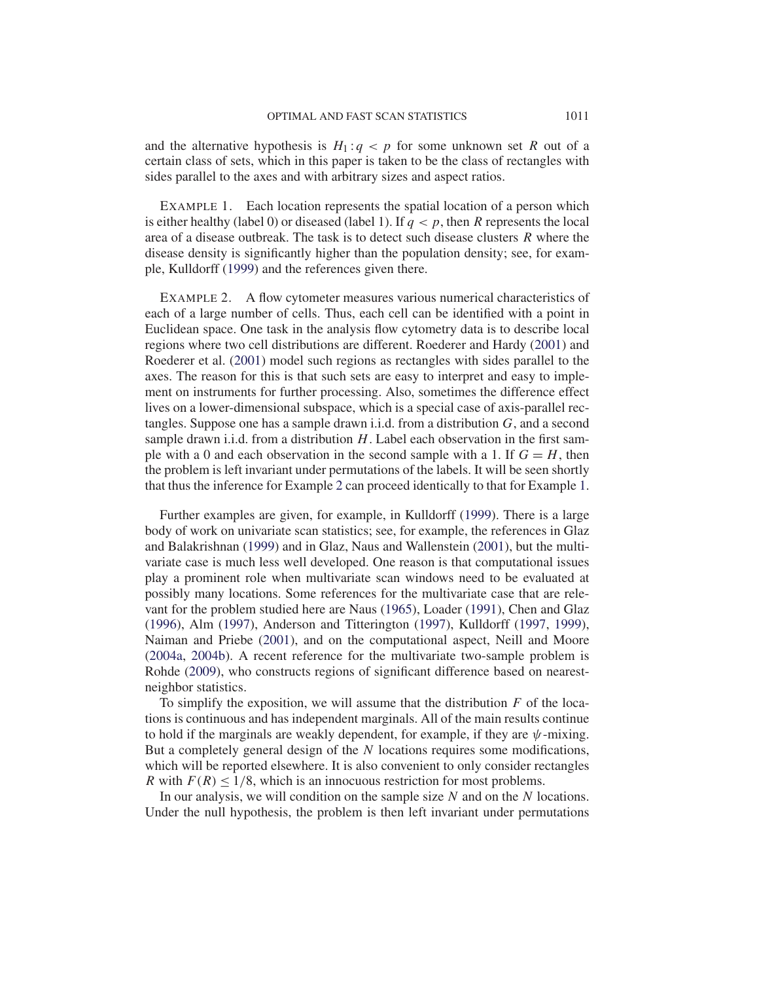and the alternative hypothesis is  $H_1: q < p$  for some unknown set R out of a certain class of sets, which in this paper is taken to be the class of rectangles with sides parallel to the axes and with arbitrary sizes and aspect ratios.

EXAMPLE 1. Each location represents the spatial location of a person which is either healthy (label 0) or diseased (label 1). If  $q < p$ , then R represents the local area of a disease outbreak. The task is to detect such disease clusters R where the disease density is significantly higher than the population density; see, for example, Kulldorff (1999) and the references given there.

EXAMPLE 2. A flow cytometer measures various numerical characteristics of each of a large number of cells. Thus, each cell can be identified with a point in Euclidean space. One task in the analysis flow cytometry data is to describe local regions where two cell distributions are different. Roederer and Hardy (2001) and Roederer et al. (2001) model such regions as rectangles with sides parallel to the axes. The reason for this is that such sets are easy to interpret and easy to implement on instruments for further processing. Also, sometimes the difference effect lives on a lower-dimensional subspace, which is a special case of axis-parallel rectangles. Suppose one has a sample drawn i.i.d. from a distribution  $G$ , and a second sample drawn i.i.d. from a distribution  $H$ . Label each observation in the first sample with a 0 and each observation in the second sample with a 1. If  $G = H$ , then the problem is left invariant under permutations of the labels. It will be seen shortly that thus the inference for Example 2 can proceed identically to that for Example 1.

Further examples are given, for example, in Kulldorff (1999). There is a large body of work on univariate scan statistics; see, for example, the references in Glaz and Balakrishnan (1999) and in Glaz, Naus and Wallenstein (2001), but the multivariate case is much less well developed. One reason is that computational issues play a prominent role when multivariate scan windows need to be evaluated at possibly many locations. Some references for the multivariate case that are relevant for the problem studied here are Naus (1965), Loader (1991), Chen and Glaz (1996), Alm (1997), Anderson and Titterington (1997), Kulldorff (1997, 1999), Naiman and Priebe (2001), and on the computational aspect, Neill and Moore (2004a, 2004b). A recent reference for the multivariate two-sample problem is Rohde (2009), who constructs regions of significant difference based on nearestneighbor statistics.

To simplify the exposition, we will assume that the distribution  $F$  of the locations is continuous and has independent marginals. All of the main results continue to hold if the marginals are weakly dependent, for example, if they are  $\psi$ -mixing. But a completely general design of the  $N$  locations requires some modifications, which will be reported elsewhere. It is also convenient to only consider rectangles R with  $F(R) \leq 1/8$ , which is an innocuous restriction for most problems.

In our analysis, we will condition on the sample size  $N$  and on the  $N$  locations. Under the null hypothesis, the problem is then left invariant under permutations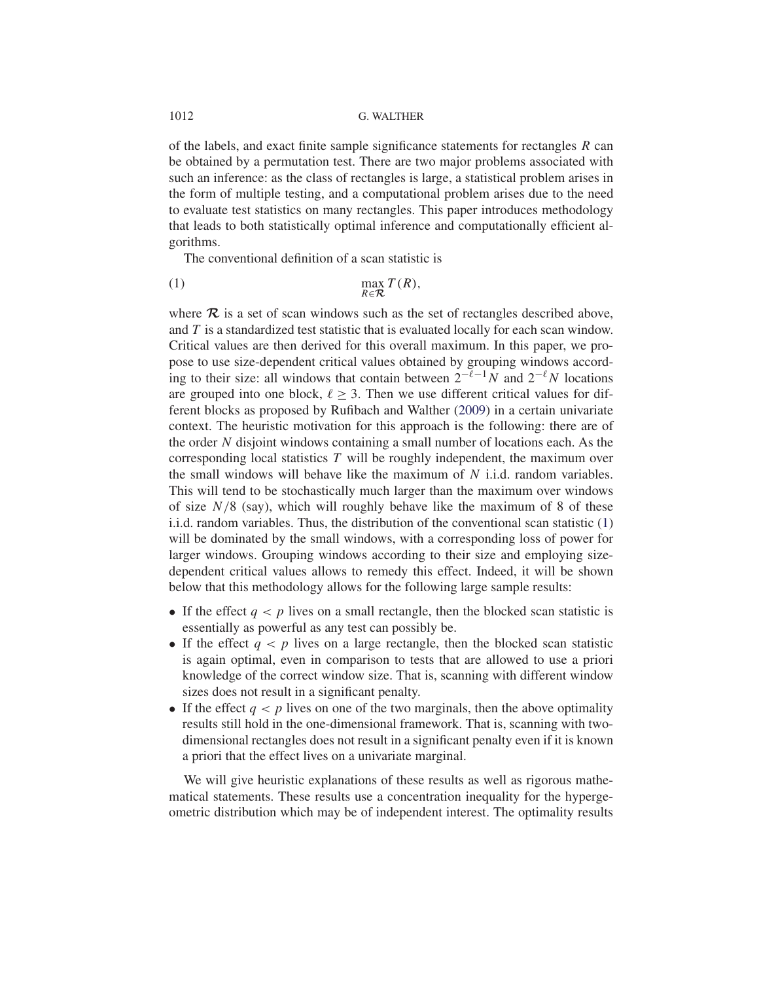# 1012 G. WALTHER

of the labels, and exact finite sample significance statements for rectangles  $R$  can be obtained by a permutation test. There are two major problems associated with such an inference: as the class of rectangles is large, a statistical problem arises in the form of multiple testing, and a computational problem arises due to the need to evaluate test statistics on many rectangles. This paper introduces methodology that leads to both statistically optimal inference and computationally efficient algorithms.

The conventional definition of a scan statistic is

$$
\max_{R \in \mathcal{R}} T(R),
$$

where  $\mathcal R$  is a set of scan windows such as the set of rectangles described above, and  $T$  is a standardized test statistic that is evaluated locally for each scan window. Critical values are then derived for this overall maximum. In this paper, we propose to use size-dependent critical values obtained by grouping windows according to their size: all windows that contain between  $2^{-\ell-1}N$  and  $2^{-\ell}N$  locations are grouped into one block,  $\ell \geq 3$ . Then we use different critical values for different blocks as proposed by Rufibach and Walther (2009) in a certain univariate context. The heuristic motivation for this approach is the following: there are of the order N disjoint windows containing a small number of locations each. As the corresponding local statistics  $T$  will be roughly independent, the maximum over the small windows will behave like the maximum of  $N$  i.i.d. random variables. This will tend to be stochastically much larger than the maximum over windows of size  $N/8$  (say), which will roughly behave like the maximum of 8 of these i.i.d. random variables. Thus, the distribution of the conventional scan statistic (1) will be dominated by the small windows, with a corresponding loss of power for larger windows. Grouping windows according to their size and employing sizedependent critical values allows to remedy this effect. Indeed, it will be shown below that this methodology allows for the following large sample results:

- If the effect  $q < p$  lives on a small rectangle, then the blocked scan statistic is essentially as powerful as any test can possibly be.
- If the effect  $q < p$  lives on a large rectangle, then the blocked scan statistic is again optimal, even in comparison to tests that are allowed to use a priori knowledge of the correct window size. That is, scanning with different window sizes does not result in a significant penalty.
- If the effect  $q < p$  lives on one of the two marginals, then the above optimality results still hold in the one-dimensional framework. That is, scanning with twodimensional rectangles does not result in a significant penalty even if it is known a priori that the effect lives on a univariate marginal.

We will give heuristic explanations of these results as well as rigorous mathematical statements. These results use a concentration inequality for the hypergeometric distribution which may be of independent interest. The optimality results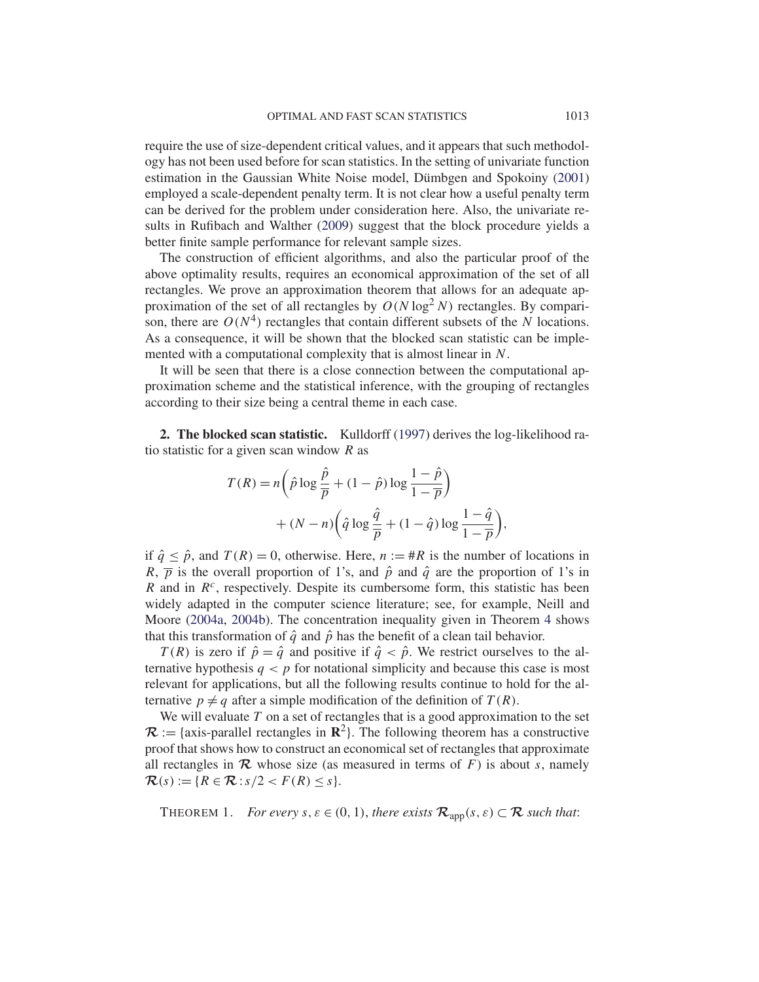require the use of size-dependent critical values, and it appears that such methodology has not been used before for scan statistics. In the setting of univariate function estimation in the Gaussian White Noise model, Dümbgen and Spokoiny (2001) employed a scale-dependent penalty term. It is not clear how a useful penalty term can be derived for the problem under consideration here. Also, the univariate results in Rufibach and Walther (2009) suggest that the block procedure yields a better finite sample performance for relevant sample sizes.

The construction of efficient algorithms, and also the particular proof of the above optimality results, requires an economical approximation of the set of all rectangles. We prove an approximation theorem that allows for an adequate approximation of the set of all rectangles by  $O(N \log^2 N)$  rectangles. By comparison, there are  $O(N^4)$  rectangles that contain different subsets of the N locations. As a consequence, it will be shown that the blocked scan statistic can be implemented with a computational complexity that is almost linear in N.

It will be seen that there is a close connection between the computational approximation scheme and the statistical inference, with the grouping of rectangles according to their size being a central theme in each case.

**2. The blocked scan statistic.** Kulldorff (1997) derives the log-likelihood ratio statistic for a given scan window  $R$  as

$$
T(R) = n\left(\hat{p}\log\frac{\hat{p}}{\overline{p}} + (1-\hat{p})\log\frac{1-\hat{p}}{1-\overline{p}}\right)
$$

$$
+ (N-n)\left(\hat{q}\log\frac{\hat{q}}{\overline{p}} + (1-\hat{q})\log\frac{1-\hat{q}}{1-\overline{p}}\right)
$$

,

if  $\hat{q} \leq \hat{p}$ , and  $T(R) = 0$ , otherwise. Here,  $n := \#R$  is the number of locations in R,  $\overline{p}$  is the overall proportion of 1's, and  $\hat{p}$  and  $\hat{q}$  are the proportion of 1's in R and in  $R^c$ , respectively. Despite its cumbersome form, this statistic has been widely adapted in the computer science literature; see, for example, Neill and Moore (2004a, 2004b). The concentration inequality given in Theorem 4 shows that this transformation of  $\hat{q}$  and  $\hat{p}$  has the benefit of a clean tail behavior.

 $T(R)$  is zero if  $\hat{p} = \hat{q}$  and positive if  $\hat{q} < \hat{p}$ . We restrict ourselves to the alternative hypothesis  $q < p$  for notational simplicity and because this case is most relevant for applications, but all the following results continue to hold for the alternative  $p \neq q$  after a simple modification of the definition of  $T(R)$ .

We will evaluate  $T$  on a set of rectangles that is a good approximation to the set  $\mathcal{R}$  := {axis-parallel rectangles in  $\mathbb{R}^2$ }. The following theorem has a constructive proof that shows how to construct an economical set of rectangles that approximate all rectangles in  $\mathcal R$  whose size (as measured in terms of  $F$ ) is about s, namely  $\mathcal{R}(s) := \{ R \in \mathcal{R} : s/2 < F(R) \leq s \}.$ 

THEOREM 1. *For every*  $s, \varepsilon \in (0, 1)$ , *there exists*  $\mathcal{R}_{\text{app}}(s, \varepsilon) \subset \mathcal{R}$  *such that:*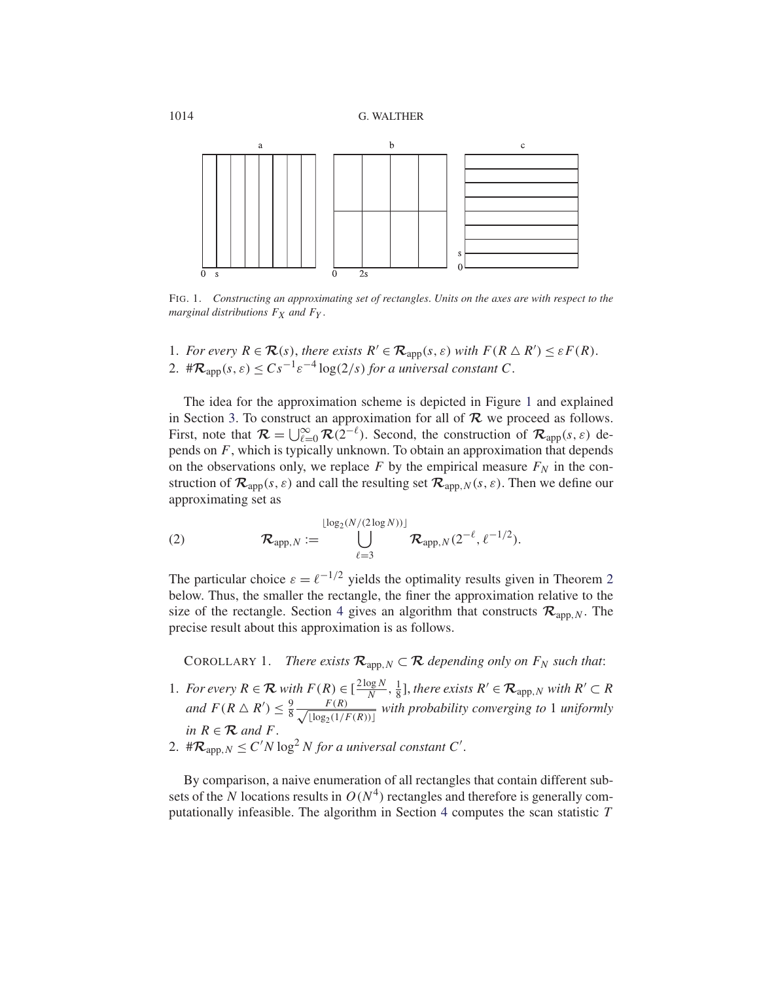

FIG. 1. *Constructing an approximating set of rectangles*. *Units on the axes are with respect to the marginal distributions*  $F_X$  *and*  $F_Y$ .

- 1. *For every*  $R \in \mathcal{R}(s)$ , *there exists*  $R' \in \mathcal{R}_{app}(s, \varepsilon)$  *with*  $F(R \triangle R') \leq \varepsilon F(R)$ .
- 2. # $\mathcal{R}_{\text{app}}(s,\varepsilon) \leq Cs^{-1}\varepsilon^{-4}\log(2/s)$  *for a universal constant* C.

The idea for the approximation scheme is depicted in Figure 1 and explained in Section 3. To construct an approximation for all of *R* we proceed as follows. First, note that  $\mathcal{R} = \bigcup_{\ell=0}^{\infty} \mathcal{R}(2^{-\ell})$ . Second, the construction of  $\mathcal{R}_{app}(s, \varepsilon)$  depends on  $F$ , which is typically unknown. To obtain an approximation that depends on the observations only, we replace F by the empirical measure  $F<sub>N</sub>$  in the construction of  $\mathcal{R}_{app}(s, \varepsilon)$  and call the resulting set  $\mathcal{R}_{app,N}(s, \varepsilon)$ . Then we define our approximating set as

(2) 
$$
\mathcal{R}_{app,N} := \bigcup_{\ell=3}^{\lfloor \log_2(N/(2\log N)) \rfloor} \mathcal{R}_{app,N}(2^{-\ell}, \ell^{-1/2}).
$$

The particular choice  $\varepsilon = \ell^{-1/2}$  yields the optimality results given in Theorem 2 below. Thus, the smaller the rectangle, the finer the approximation relative to the size of the rectangle. Section 4 gives an algorithm that constructs  $\mathcal{R}_{\text{app},N}$ . The precise result about this approximation is as follows.

COROLLARY 1. *There exists*  $\mathcal{R}_{\text{app, }N} \subset \mathcal{R}$  *depending only on*  $F_N$  *such that*:

- 1. *For every*  $R \in \mathcal{R}$  *with*  $F(R) \in \left[\frac{2\log N}{N}, \frac{1}{8}\right]$ , *there exists*  $R' \in \mathcal{R}_{app,N}$  *with*  $R' \subset R$ *and*  $F(R \triangle R') \leq \frac{9}{8} \frac{F(R)}{\sqrt{|\log_2(1)|}}$  $\frac{F(K)}{\lfloor \log_2(1/F(R)) \rfloor}$  *with probability converging to* 1 *uniformly in*  $R \in \mathcal{R}$  *and*  $F$ .
- 2.  $\#\mathcal{R}_{\text{app},N} \leq C'N \log^2 N$  *for a universal constant* C'.

By comparison, a naive enumeration of all rectangles that contain different subsets of the N locations results in  $O(N^4)$  rectangles and therefore is generally computationally infeasible. The algorithm in Section 4 computes the scan statistic T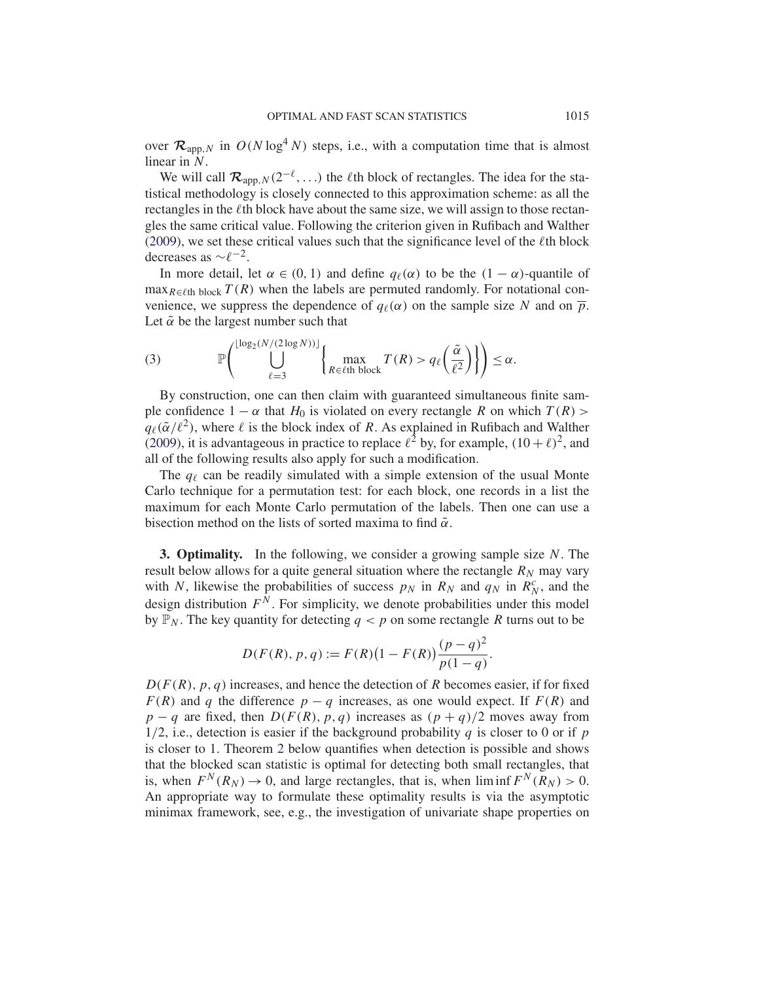over  $\mathcal{R}_{app,N}$  in  $O(N \log^4 N)$  steps, i.e., with a computation time that is almost linear in N.

We will call  $\mathcal{R}_{\text{app},N}(2^{-\ell}, \ldots)$  the  $\ell$ th block of rectangles. The idea for the statistical methodology is closely connected to this approximation scheme: as all the rectangles in the  $\ell$ th block have about the same size, we will assign to those rectangles the same critical value. Following the criterion given in Rufibach and Walther (2009), we set these critical values such that the significance level of the  $\ell$ th block decreases as  $\sim$  $\ell^{-2}$ .

In more detail, let  $\alpha \in (0, 1)$  and define  $q_\ell(\alpha)$  to be the  $(1 - \alpha)$ -quantile of  $\max_{R \in \ell$ th block  $T(R)$  when the labels are permuted randomly. For notational convenience, we suppress the dependence of  $q_{\ell}(\alpha)$  on the sample size N and on  $\overline{p}$ . Let  $\tilde{\alpha}$  be the largest number such that

(3) 
$$
\mathbb{P}\left(\bigcup_{\ell=3}^{\lfloor \log_2(N/(2\log N))\rfloor} \left\{\max_{R \in \ell\text{th block}} T(R) > q_{\ell}\left(\frac{\tilde{\alpha}}{\ell^2}\right)\right\}\right) \leq \alpha.
$$

By construction, one can then claim with guaranteed simultaneous finite sample confidence  $1 - \alpha$  that  $H_0$  is violated on every rectangle R on which  $T(R)$  >  $q_{\ell}(\tilde{\alpha}/\ell^2)$ , where  $\ell$  is the block index of R. As explained in Rufibach and Walther (2009), it is advantageous in practice to replace  $\ell^2$  by, for example,  $(10 + \ell)^2$ , and all of the following results also apply for such a modification.

The  $q_{\ell}$  can be readily simulated with a simple extension of the usual Monte Carlo technique for a permutation test: for each block, one records in a list the maximum for each Monte Carlo permutation of the labels. Then one can use a bisection method on the lists of sorted maxima to find  $\tilde{\alpha}$ .

**3. Optimality.** In the following, we consider a growing sample size N. The result below allows for a quite general situation where the rectangle  $R_N$  may vary with N, likewise the probabilities of success  $p_N$  in  $R_N$  and  $q_N$  in  $R_N^c$ , and the design distribution  $F<sup>N</sup>$ . For simplicity, we denote probabilities under this model by  $\mathbb{P}_N$ . The key quantity for detecting  $q < p$  on some rectangle R turns out to be

$$
D(F(R), p, q) := F(R)(1 - F(R)) \frac{(p - q)^2}{p(1 - q)}.
$$

 $D(F(R), p, q)$  increases, and hence the detection of R becomes easier, if for fixed  $F(R)$  and q the difference  $p - q$  increases, as one would expect. If  $F(R)$  and  $p - q$  are fixed, then  $D(F(R), p, q)$  increases as  $(p + q)/2$  moves away from  $1/2$ , i.e., detection is easier if the background probability q is closer to 0 or if p is closer to 1. Theorem 2 below quantifies when detection is possible and shows that the blocked scan statistic is optimal for detecting both small rectangles, that is, when  $F^N(R_N) \to 0$ , and large rectangles, that is, when liminf  $F^N(R_N) > 0$ . An appropriate way to formulate these optimality results is via the asymptotic minimax framework, see, e.g., the investigation of univariate shape properties on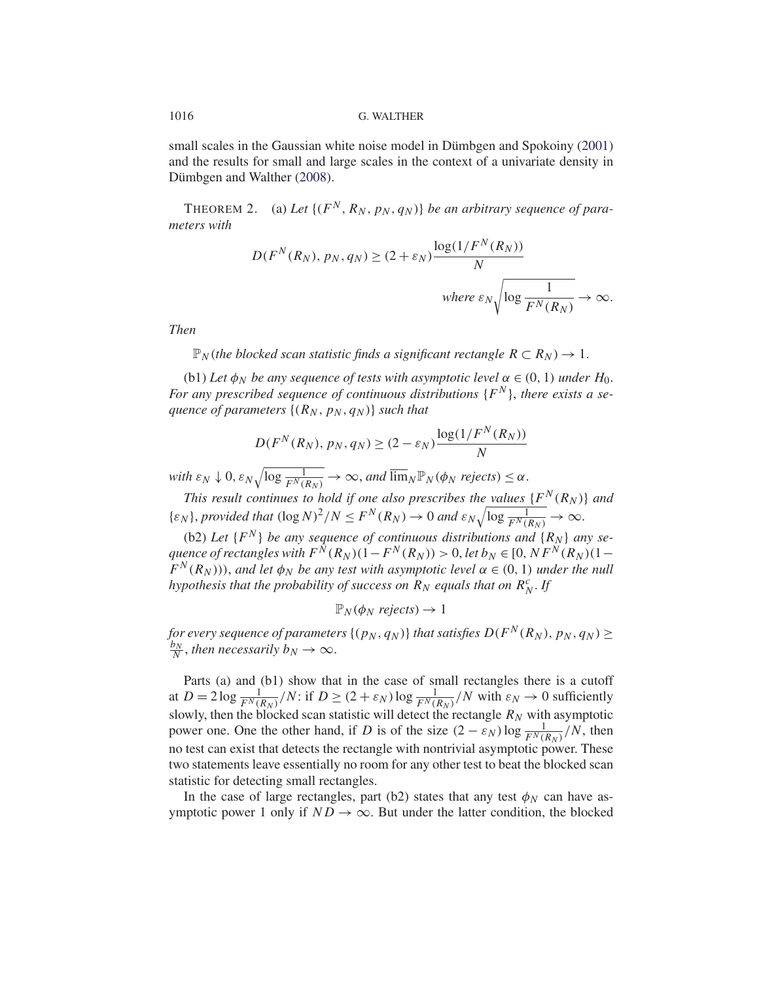small scales in the Gaussian white noise model in Dümbgen and Spokoiny (2001) and the results for small and large scales in the context of a univariate density in Dümbgen and Walther (2008).

THEOREM 2. (a) Let  $\{(F^N, R_N, p_N, q_N)\}$  *be an arbitrary sequence of parameters with*

$$
D(F^N(R_N), p_N, q_N) \ge (2 + \varepsilon_N) \frac{\log(1/F^N(R_N))}{N}
$$
  
where  $\varepsilon_N \sqrt{\log \frac{1}{F^N(R_N)}} \to \infty$ .

*Then*

 $\mathbb{P}_N$  (*the blocked scan statistic finds a significant rectangle*  $R \subset R_N$ )  $\rightarrow 1$ .

(b1) *Let*  $\phi_N$  *be any sequence of tests with asymptotic level*  $\alpha \in (0, 1)$  *under*  $H_0$ *.* For any prescribed sequence of continuous distributions  $\{F^N\}$ , there exists a se*quence of parameters*  $\{(R_N, p_N, q_N)\}\$  *such that* 

$$
D(F^N(R_N), p_N, q_N) \ge (2 - \varepsilon_N) \frac{\log(1/F^N(R_N))}{N}
$$

 $\text{with } \varepsilon_N \downarrow 0, \varepsilon_N \sqrt{\log \frac{1}{F^N(R_N)}} \to \infty, \text{ and } \overline{\lim}_N \mathbb{P}_N(\phi_N \text{ rejects}) \leq \alpha.$ 

*This result continues to hold if one also prescribes the values*  $\{F^N(R_N)\}$  *and*  $\{\varepsilon_N\}, provided that  $(\log N)^2/N \leq F^N(R_N) \to 0 \text{ and } \varepsilon_N \sqrt{\log \frac{1}{F^N(R_N)}} \to \infty.$$ 

(b2) Let  $\{F^N\}$  be any sequence of continuous distributions and  $\{R_N\}$  any se*quence of rectangles with*  $F^N(R_N)(1-F^N(R_N)) > 0$ , *let*  $b_N \in [0, NF^N(R_N)(1-\frac{1}{2})$  $F^N(R_N)$ ), and let  $\phi_N$  be any test with asymptotic level  $\alpha \in (0,1)$  under the null *hypothesis that the probability of success on*  $R_N$  *equals that on*  $R_N^c$ . If

$$
\mathbb{P}_N(\phi_N \text{ rejects}) \to 1
$$

*for every sequence of parameters*  $\{(p_N, q_N)\}\$  *that satisfies*  $D(F^N(R_N), p_N, q_N) \ge \frac{b_N}{N}$ *, then necessarily*  $b_N \to \infty$ *.* 

Parts (a) and (b1) show that in the case of small rectangles there is a cutoff at  $D = 2 \log \frac{1}{F^N(R_N)} / N$ : if  $D \ge (2 + \varepsilon_N) \log \frac{1}{F^N(R_N)} / N$  with  $\varepsilon_N \to 0$  sufficiently slowly, then the blocked scan statistic will detect the rectangle  $R_N$  with asymptotic power one. One the other hand, if D is of the size  $(2 - \varepsilon_N) \log \frac{1}{F^N(R_N)}/N$ , then no test can exist that detects the rectangle with nontrivial asymptotic power. These two statements leave essentially no room for any other test to beat the blocked scan statistic for detecting small rectangles.

In the case of large rectangles, part (b2) states that any test  $\phi_N$  can have asymptotic power 1 only if  $ND \rightarrow \infty$ . But under the latter condition, the blocked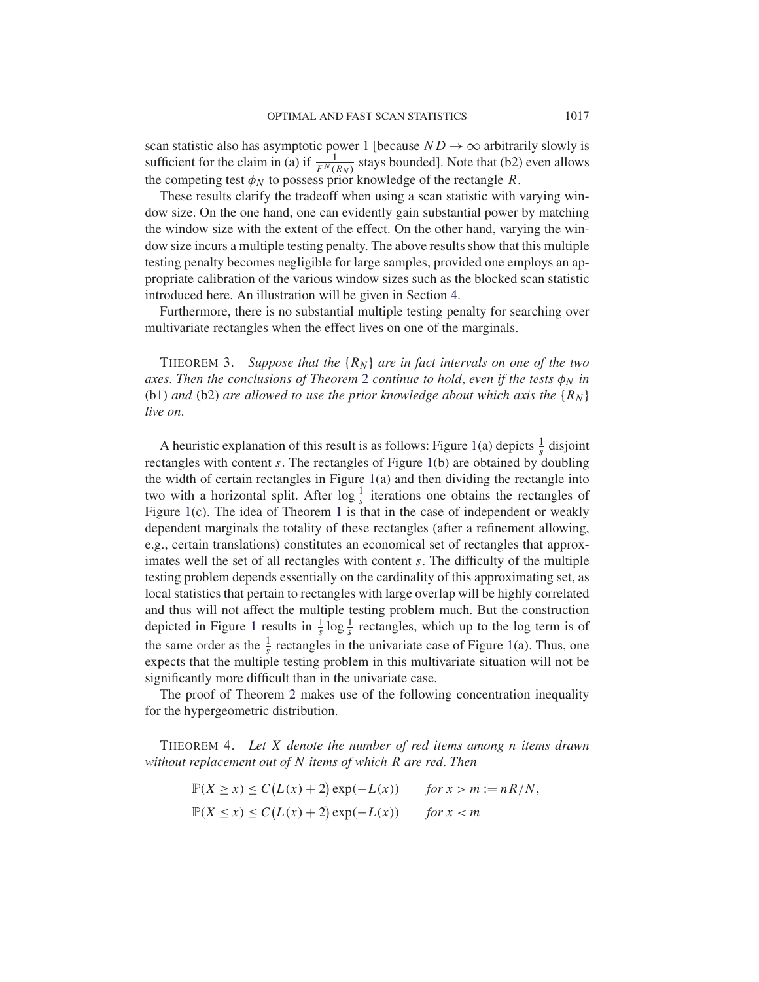scan statistic also has asymptotic power 1 [because  $ND \rightarrow \infty$  arbitrarily slowly is sufficient for the claim in (a) if  $\frac{1}{F^N(R_N)}$  stays bounded]. Note that (b2) even allows the competing test  $\phi_N$  to possess prior knowledge of the rectangle R.

These results clarify the tradeoff when using a scan statistic with varying window size. On the one hand, one can evidently gain substantial power by matching the window size with the extent of the effect. On the other hand, varying the window size incurs a multiple testing penalty. The above results show that this multiple testing penalty becomes negligible for large samples, provided one employs an appropriate calibration of the various window sizes such as the blocked scan statistic introduced here. An illustration will be given in Section 4.

Furthermore, there is no substantial multiple testing penalty for searching over multivariate rectangles when the effect lives on one of the marginals.

THEOREM 3. Suppose that the  $\{R_N\}$  are in fact intervals on one of the two *axes. Then the conclusions of Theorem* 2 *continue to hold, even if the tests*  $\phi_N$  *in* (b1) and (b2) are allowed to use the prior knowledge about which axis the  $\{R_N\}$ *live on*.

A heuristic explanation of this result is as follows: Figure 1(a) depicts  $\frac{1}{s}$  disjoint rectangles with content s. The rectangles of Figure 1(b) are obtained by doubling the width of certain rectangles in Figure  $1(a)$  and then dividing the rectangle into two with a horizontal split. After  $\log \frac{1}{s}$  iterations one obtains the rectangles of Figure 1(c). The idea of Theorem 1 is that in the case of independent or weakly dependent marginals the totality of these rectangles (after a refinement allowing, e.g., certain translations) constitutes an economical set of rectangles that approximates well the set of all rectangles with content s. The difficulty of the multiple testing problem depends essentially on the cardinality of this approximating set, as local statistics that pertain to rectangles with large overlap will be highly correlated and thus will not affect the multiple testing problem much. But the construction depicted in Figure 1 results in  $\frac{1}{s} \log \frac{1}{s}$  rectangles, which up to the log term is of the same order as the  $\frac{1}{s}$  rectangles in the univariate case of Figure 1(a). Thus, one expects that the multiple testing problem in this multivariate situation will not be significantly more difficult than in the univariate case.

The proof of Theorem 2 makes use of the following concentration inequality for the hypergeometric distribution.

THEOREM 4. *Let* X *denote the number of red items among* n *items drawn without replacement out of* N *items of which* R *are red*. *Then*

> $\mathbb{P}(X \ge x) \le C(L(x) + 2) \exp(-L(x))$  *for*  $x > m := nR/N$ ,  $\mathbb{P}(X \leq x) \leq C(L(x) + 2) \exp(-L(x))$  *for*  $x < m$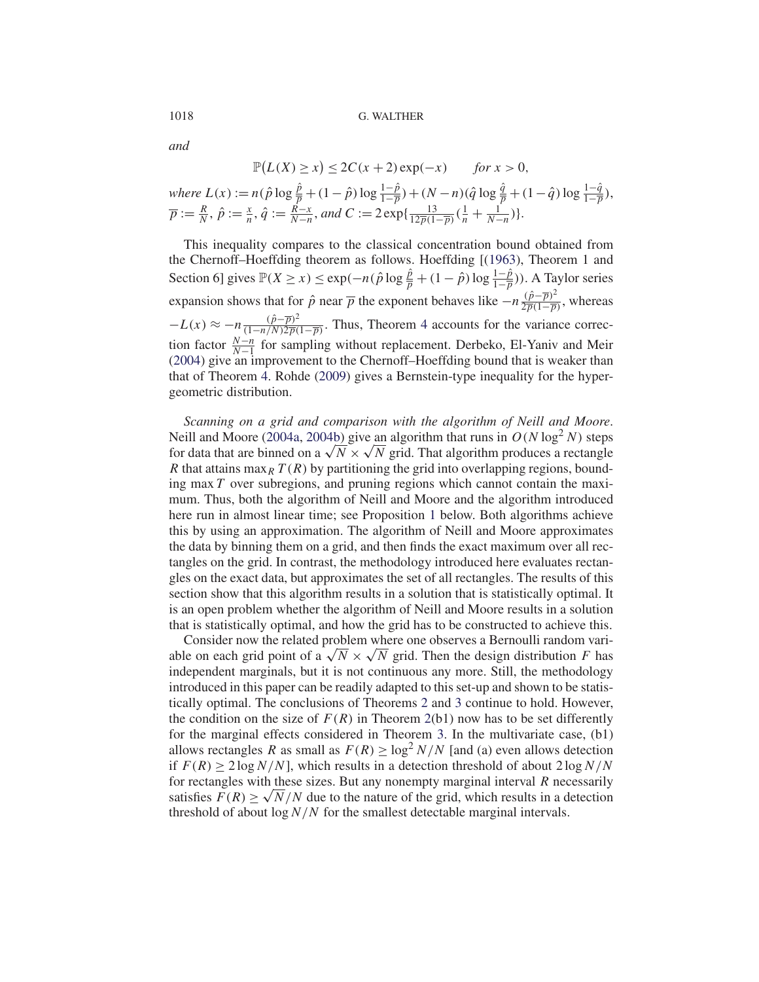*and*

$$
\mathbb{P}(L(X) \ge x) \le 2C(x+2)\exp(-x) \quad \text{for } x > 0,
$$

where 
$$
L(x) := n(\hat{p} \log \frac{\hat{p}}{p} + (1 - \hat{p}) \log \frac{1 - \hat{p}}{1 - \overline{p}}) + (N - n)(\hat{q} \log \frac{\hat{q}}{p} + (1 - \hat{q}) \log \frac{1 - \hat{q}}{1 - \overline{p}}),
$$
  
\n $\overline{p} := \frac{R}{N}, \hat{p} := \frac{x}{n}, \hat{q} := \frac{R - x}{N - n}, and C := 2 \exp\{\frac{13}{12\overline{p}(1 - \overline{p})}(\frac{1}{n} + \frac{1}{N - n})\}.$ 

This inequality compares to the classical concentration bound obtained from the Chernoff–Hoeffding theorem as follows. Hoeffding [(1963), Theorem 1 and Section 6] gives  $\mathbb{P}(X \ge x) \le \exp(-n(\hat{p} \log \frac{\hat{p}}{p} + (1 - \hat{p}) \log \frac{1 - \hat{p}}{1 - \overline{p}}))$ . A Taylor series expansion shows that for  $\hat{p}$  near  $\overline{p}$  the exponent behaves like  $-n\frac{(\hat{p}-\overline{p})^2}{2\overline{p}(1-\overline{p})}$ , whereas  $-L(x) \approx -n \frac{(\hat{p} - \overline{p})^2}{(1 - n/N)2\overline{p}(1 - \overline{p})}$ . Thus, Theorem 4 accounts for the variance correction factor  $\frac{N-n}{N-1}$  for sampling without replacement. Derbeko, El-Yaniv and Meir (2004) give an improvement to the Chernoff–Hoeffding bound that is weaker than that of Theorem 4. Rohde (2009) gives a Bernstein-type inequality for the hypergeometric distribution.

*Scanning on a grid and comparison with the algorithm of Neill and Moore*. Neill and Moore (2004a, 2004b) give an algorithm that runs in  $O(N \log^2 N)$  steps for data that are binned on a  $\sqrt{N} \times \sqrt{N}$  grid. That algorithm produces a rectangle R that attains max<sub>R</sub>  $T(R)$  by partitioning the grid into overlapping regions, bounding max  $T$  over subregions, and pruning regions which cannot contain the maximum. Thus, both the algorithm of Neill and Moore and the algorithm introduced here run in almost linear time; see Proposition 1 below. Both algorithms achieve this by using an approximation. The algorithm of Neill and Moore approximates the data by binning them on a grid, and then finds the exact maximum over all rectangles on the grid. In contrast, the methodology introduced here evaluates rectangles on the exact data, but approximates the set of all rectangles. The results of this section show that this algorithm results in a solution that is statistically optimal. It is an open problem whether the algorithm of Neill and Moore results in a solution that is statistically optimal, and how the grid has to be constructed to achieve this.

Consider now the related problem where one observes a Bernoulli random variable on each grid point of a  $\sqrt{N} \times \sqrt{N}$  grid. Then the design distribution F has independent marginals, but it is not continuous any more. Still, the methodology introduced in this paper can be readily adapted to this set-up and shown to be statistically optimal. The conclusions of Theorems 2 and 3 continue to hold. However, the condition on the size of  $F(R)$  in Theorem 2(b1) now has to be set differently for the marginal effects considered in Theorem 3. In the multivariate case, (b1) allows rectangles R as small as  $F(R) \ge \log^2 N/N$  [and (a) even allows detection if  $F(R) > 2 \log N/N$ , which results in a detection threshold of about  $2 \log N/N$ for rectangles with these sizes. But any nonempty marginal interval  $R$  necessarily satisfies  $F(R) \ge \sqrt{N/N}$  due to the nature of the grid, which results in a detection threshold of about  $\log N/N$  for the smallest detectable marginal intervals.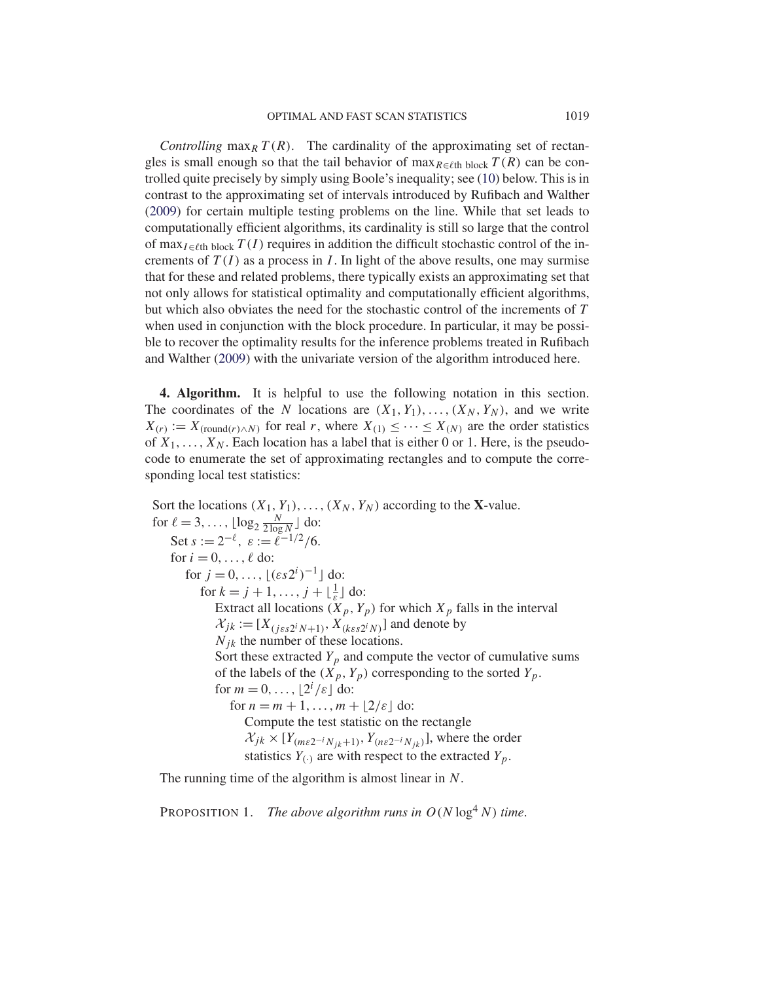*Controlling* max<sub>R</sub>  $T(R)$ . The cardinality of the approximating set of rectangles is small enough so that the tail behavior of  $\max_{R \in \ell$ th block  $T(R)$  can be controlled quite precisely by simply using Boole's inequality; see (10) below. This is in contrast to the approximating set of intervals introduced by Rufibach and Walther (2009) for certain multiple testing problems on the line. While that set leads to computationally efficient algorithms, its cardinality is still so large that the control of max<sub>I∈ℓth block</sub>  $T(I)$  requires in addition the difficult stochastic control of the increments of  $T(I)$  as a process in I. In light of the above results, one may surmise that for these and related problems, there typically exists an approximating set that not only allows for statistical optimality and computationally efficient algorithms, but which also obviates the need for the stochastic control of the increments of T when used in conjunction with the block procedure. In particular, it may be possible to recover the optimality results for the inference problems treated in Rufibach and Walther (2009) with the univariate version of the algorithm introduced here.

**4. Algorithm.** It is helpful to use the following notation in this section. The coordinates of the N locations are  $(X_1, Y_1), \ldots, (X_N, Y_N)$ , and we write  $X(r) := X_{(round(r) \wedge N)}$  for real r, where  $X_{(1)} \leq \cdots \leq X_{(N)}$  are the order statistics of  $X_1, \ldots, X_N$ . Each location has a label that is either 0 or 1. Here, is the pseudocode to enumerate the set of approximating rectangles and to compute the corresponding local test statistics:

Sort the locations  $(X_1, Y_1), \ldots, (X_N, Y_N)$  according to the **X**-value. for  $\ell = 3, ..., \lfloor \log_2 \frac{N}{2 \log N} \rfloor$  do: Set  $s := 2^{-\ell}, \; \varepsilon := \ell^{-1/2}/6.$ for  $i = 0, \ldots, \ell$  do: for  $j = 0, \ldots, \lfloor (\varepsilon s 2^i)^{-1} \rfloor$  do: for  $k = j + 1, \ldots, j + \lfloor \frac{1}{\varepsilon} \rfloor$  do: Extract all locations  $(X_p, Y_p)$  for which  $X_p$  falls in the interval  $\mathcal{X}_{jk} := [X_{(j\epsilon s2^iN+1)}, X_{(k\epsilon s2^iN)}]$  and denote by  $N_{ik}$  the number of these locations. Sort these extracted  $Y_p$  and compute the vector of cumulative sums of the labels of the  $(X_p, Y_p)$  corresponding to the sorted  $Y_p$ . for  $m = 0, \ldots, \lfloor 2^i / \varepsilon \rfloor$  do: for  $n = m + 1, \ldots, m + \lfloor 2/\varepsilon \rfloor$  do: Compute the test statistic on the rectangle  $\mathcal{X}_{jk} \times [Y_{(m\epsilon 2^{-i}N_{jk}+1)}, Y_{(n\epsilon 2^{-i}N_{jk})}]$ , where the order statistics  $Y_{(.)}$  are with respect to the extracted  $Y_p$ .

The running time of the algorithm is almost linear in N.

PROPOSITION 1. *The above algorithm runs in*  $O(N \log^4 N)$  *time.*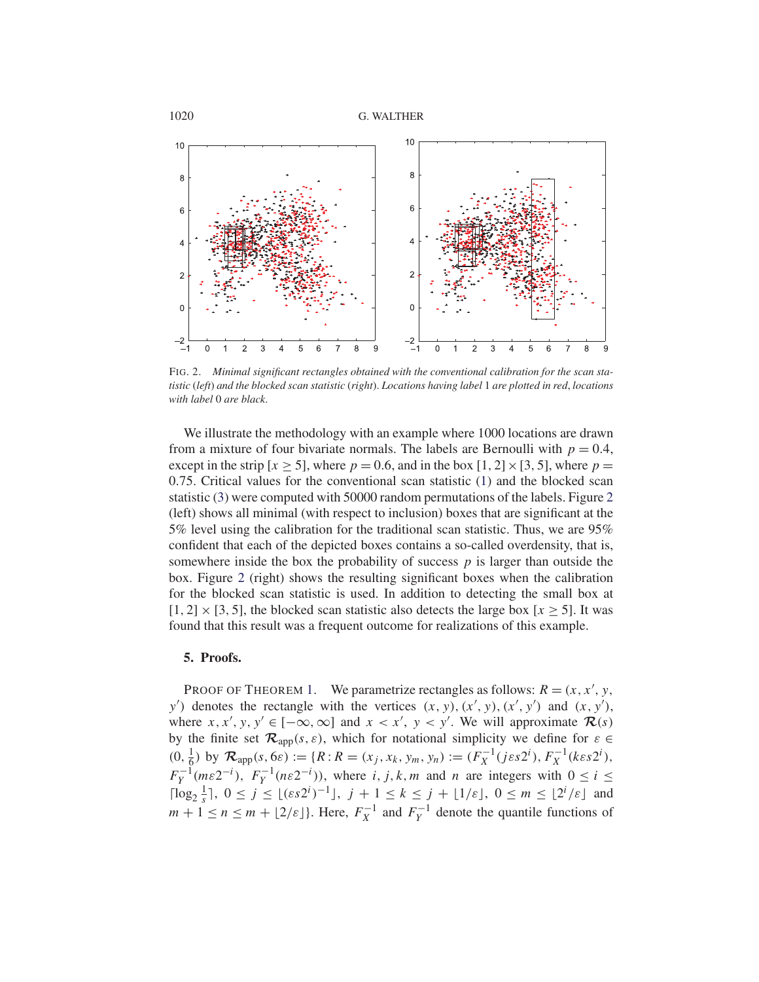

FIG. 2. *Minimal significant rectangles obtained with the conventional calibration for the scan statistic* (*left*) *and the blocked scan statistic* (*right*). *Locations having label* 1 *are plotted in red*, *locations with label* 0 *are black*.

We illustrate the methodology with an example where 1000 locations are drawn from a mixture of four bivariate normals. The labels are Bernoulli with  $p = 0.4$ , except in the strip  $[x > 5]$ , where  $p = 0.6$ , and in the box  $[1, 2] \times [3, 5]$ , where  $p =$ 0.75. Critical values for the conventional scan statistic (1) and the blocked scan statistic (3) were computed with 50000 random permutations of the labels. Figure 2 (left) shows all minimal (with respect to inclusion) boxes that are significant at the 5% level using the calibration for the traditional scan statistic. Thus, we are 95% confident that each of the depicted boxes contains a so-called overdensity, that is, somewhere inside the box the probability of success  $p$  is larger than outside the box. Figure 2 (right) shows the resulting significant boxes when the calibration for the blocked scan statistic is used. In addition to detecting the small box at  $[1, 2] \times [3, 5]$ , the blocked scan statistic also detects the large box  $[x \ge 5]$ . It was found that this result was a frequent outcome for realizations of this example.

#### **5. Proofs.**

PROOF OF THEOREM 1. We parametrize rectangles as follows:  $R = (x, x', y, z')$  $y'$ ) denotes the rectangle with the vertices  $(x, y), (x', y), (x', y')$  and  $(x, y'),$ where  $x, x', y, y' \in [-\infty, \infty]$  and  $x < x', y < y'$ . We will approximate  $\mathcal{R}(s)$ by the finite set  $\mathcal{R}_{app}(s, \varepsilon)$ , which for notational simplicity we define for  $\varepsilon \in$  $(0, \frac{1}{6})$  by  $\mathcal{R}_{app}(s, 6\varepsilon) := \{R : R = (x_j, x_k, y_m, y_n) := (F_X^{-1}(j\varepsilon s 2^i), F_X^{-1}(k\varepsilon s 2^i),$  $F_Y^{-1}(m\varepsilon 2^{-i}), F_Y^{-1}(n\varepsilon 2^{-i}),$  where i, j, k, m and n are integers with  $0 \le i \le n$  $\lceil \log_2 \frac{1}{s} \rceil, 0 \le j \le \lfloor (ss2^i)^{-1} \rfloor, j+1 \le k \le j+ \lfloor 1/\varepsilon \rfloor, 0 \le m \le \lfloor 2^i/\varepsilon \rfloor$  and  $m + 1 \le n \le m + \lfloor 2/\varepsilon \rfloor$ . Here,  $F_X^{-1}$  and  $F_Y^{-1}$  denote the quantile functions of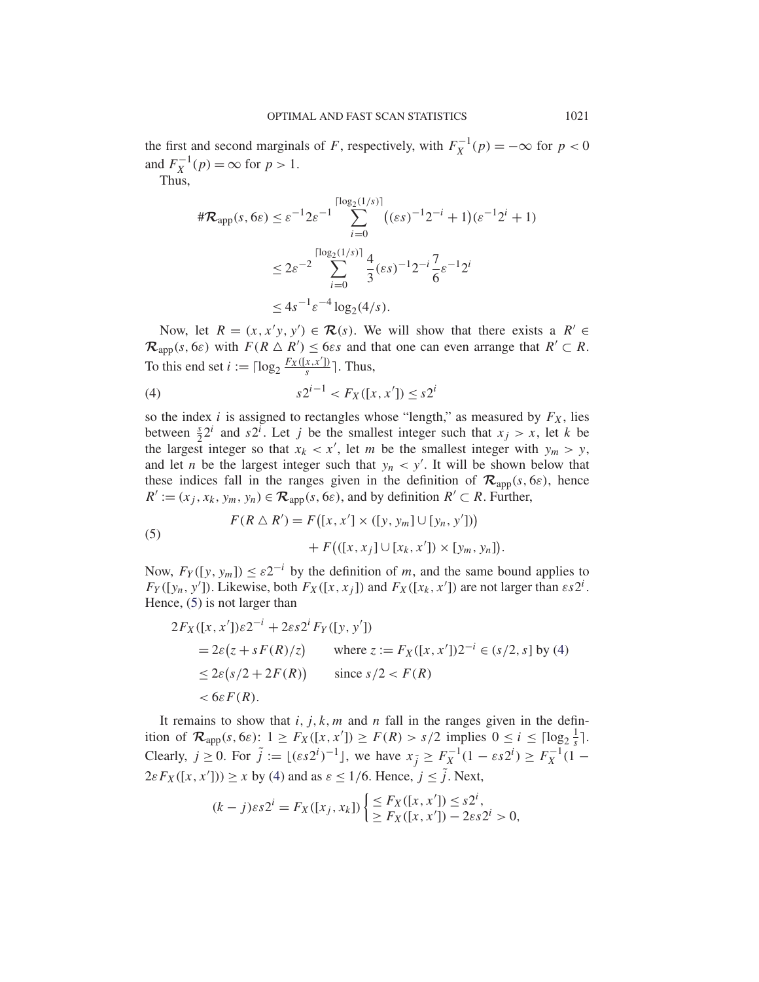the first and second marginals of F, respectively, with  $F_X^{-1}(p) = -\infty$  for  $p < 0$ and  $F_X^{-1}(p) = \infty$  for  $p > 1$ .

Thus,

$$
\begin{aligned} \#\mathcal{R}_{app}(s, 6\varepsilon) &\leq \varepsilon^{-1} 2\varepsilon^{-1} \sum_{i=0}^{\lceil \log_2(1/s) \rceil} \left( (\varepsilon s)^{-1} 2^{-i} + 1 \right) (\varepsilon^{-1} 2^i + 1) \\ &\leq 2\varepsilon^{-2} \sum_{i=0}^{\lceil \log_2(1/s) \rceil} \frac{4}{3} (\varepsilon s)^{-1} 2^{-i} \frac{7}{6} \varepsilon^{-1} 2^i \\ &\leq 4s^{-1} \varepsilon^{-4} \log_2(4/s). \end{aligned}
$$

Now, let  $R = (x, x'y, y') \in \mathcal{R}(s)$ . We will show that there exists a  $R' \in \mathcal{R}(s)$  $\mathcal{R}_{app}(s, 6\varepsilon)$  with  $F(R \triangle R') \le 6\varepsilon s$  and that one can even arrange that  $R' \subset R$ . To this end set  $i := \lceil \log_2 \frac{F_X([x, x'])}{s} \rceil$ . Thus,

(4) 
$$
s2^{i-1} < F_X([x, x']) \leq s2^i
$$

so the index i is assigned to rectangles whose "length," as measured by  $F_X$ , lies between  $\frac{s}{2}2^{i}$  and  $s2^{i}$ . Let j be the smallest integer such that  $x_j > x$ , let k be the largest integer so that  $x_k < x'$ , let m be the smallest integer with  $y_m > y$ , and let *n* be the largest integer such that  $y_n < y'$ . It will be shown below that these indices fall in the ranges given in the definition of  $\mathcal{R}_{\text{app}}(s, 6\varepsilon)$ , hence  $R' := (x_j, x_k, y_m, y_n) \in \mathcal{R}_{app}(s, 6\varepsilon)$ , and by definition  $R' \subset R$ . Further,

(5) 
$$
F(R \triangle R') = F([x, x'] \times ([y, y_m] \cup [y_n, y'])+ F(([x, x_j] \cup [x_k, x']) \times [y_m, y_n]).
$$

Now,  $F_Y([y, y_m]) \leq \varepsilon 2^{-i}$  by the definition of m, and the same bound applies to  $F_Y([y_n, y'])$ . Likewise, both  $F_X([x, x_j])$  and  $F_X([x_k, x'])$  are not larger than  $\epsilon s2^i$ . Hence, (5) is not larger than

$$
2F_X([x, x'])\varepsilon 2^{-i} + 2\varepsilon s 2^i F_Y([y, y'])
$$
  
=  $2\varepsilon (z + sF(R)/z)$  where  $z := F_X([x, x'])2^{-i} \in (s/2, s]$  by (4)  
 $\leq 2\varepsilon (s/2 + 2F(R))$  since  $s/2 < F(R)$   
 $< 6\varepsilon F(R)$ .

It remains to show that  $i, j, k, m$  and n fall in the ranges given in the definition of  $\mathcal{R}_{app}(s, 6\varepsilon)$ :  $1 \geq F_X([x, x']) \geq F(R) > s/2$  implies  $0 \leq i \leq \lceil \log_2 \frac{1}{s} \rceil$ . Clearly,  $j \ge 0$ . For  $\tilde{j} := \lfloor (\varepsilon s 2^{i})^{-1} \rfloor$ , we have  $x_{\tilde{j}} \ge F_X^{-1}(1 - \varepsilon s 2^{i}) \ge F_X^{-1}(1 - \varepsilon s 2^{i})$  $2\varepsilon F_X([x, x']) \ge x$  by (4) and as  $\varepsilon \le 1/6$ . Hence,  $j \le j$ . Next,

$$
(k - j)\varepsilon s 2^{i} = F_X([x_j, x_k]) \begin{cases} \leq F_X([x, x']) \leq s 2^{i}, \\ \geq F_X([x, x']) - 2\varepsilon s 2^{i} > 0, \end{cases}
$$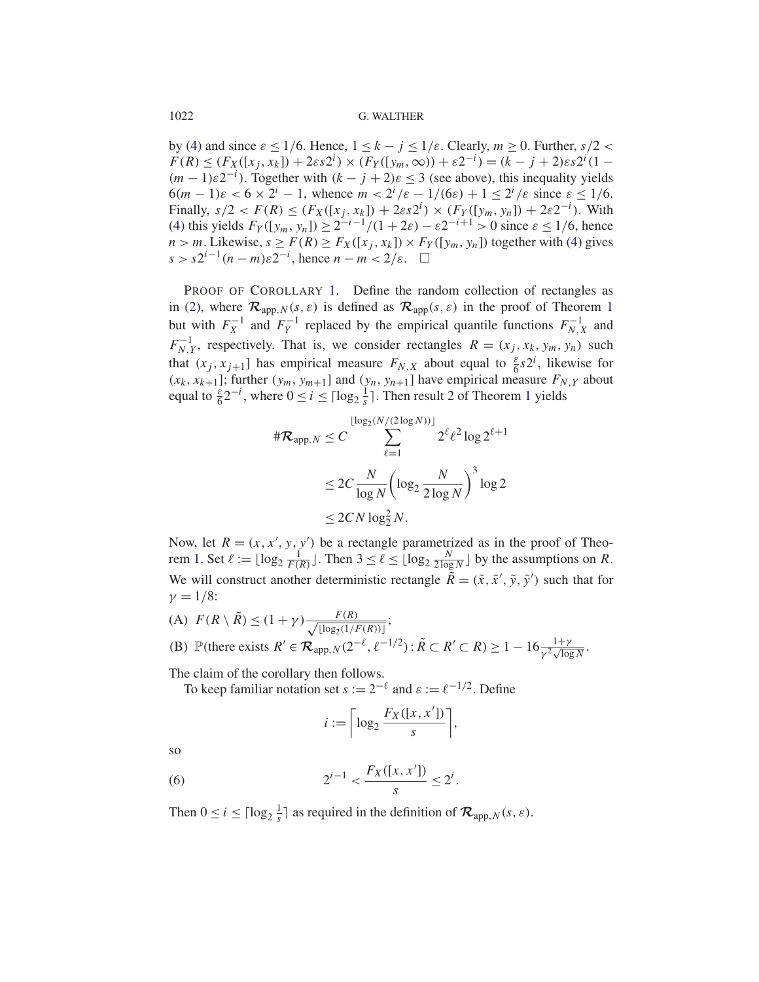### 1022 G. WALTHER

by (4) and since  $\varepsilon \le 1/6$ . Hence,  $1 \le k - j \le 1/\varepsilon$ . Clearly,  $m \ge 0$ . Further,  $s/2 <$  $F(R) \le (F_X([x_j, x_k]) + 2\varepsilon s 2^i) \times (F_Y([y_m, \infty)) + \varepsilon 2^{-i}) = (k - j + 2)\varepsilon s 2^i (1 (m-1)\varepsilon 2^{-i}$ ). Together with  $(k-j+2)\varepsilon \leq 3$  (see above), this inequality yields  $6(m-1)\varepsilon < 6 \times 2^{i} - 1$ , whence  $m < 2^{i}/\varepsilon - 1/(6\varepsilon) + 1 \leq 2^{i}/\varepsilon$  since  $\varepsilon \leq 1/6$ . Finally,  $s/2 < F(R) \le (F_X([x_j, x_k]) + 2\varepsilon s 2^i) \times (F_Y([y_m, y_n]) + 2\varepsilon 2^{-i})$ . With (4) this yields  $F_Y([y_m, y_n]) \geq 2^{-i-1}/(1+2\varepsilon) - \varepsilon 2^{-i+1} > 0$  since  $\varepsilon \leq 1/6$ , hence  $n > m$ . Likewise,  $s \ge F(R) \ge F_X([x_j, x_k]) \times F_Y([y_m, y_n])$  together with (4) gives  $s > s2^{i-1}(n-m)\varepsilon 2^{-i}$ , hence  $n-m < 2/\varepsilon$ .  $\Box$ 

PROOF OF COROLLARY 1. Define the random collection of rectangles as in (2), where  $\mathcal{R}_{app,N}(s,\varepsilon)$  is defined as  $\mathcal{R}_{app}(s,\varepsilon)$  in the proof of Theorem 1 but with  $F_X^{-1}$  and  $F_Y^{-1}$  replaced by the empirical quantile functions  $F_{N,X}^{-1}$  and  $F_{N,Y}^{-1}$ , respectively. That is, we consider rectangles  $R = (x_j, x_k, y_m, y_n)$  such that  $(x_j, x_{j+1}]$  has empirical measure  $F_{N,X}$  about equal to  $\frac{\varepsilon}{6} s 2^i$ , likewise for  $(x_k, x_{k+1}]$ ; further  $(y_m, y_{m+1}]$  and  $(y_n, y_{n+1}]$  have empirical measure  $F_{N,Y}$  about equal to  $\frac{\varepsilon}{6} 2^{-i}$ , where  $0 \le i \le \lceil \log_2 \frac{1}{s} \rceil$ . Then result 2 of Theorem 1 yields

$$
\#\mathcal{R}_{app,N} \leq C \sum_{\ell=1}^{\lfloor \log_2(N/(2\log N)) \rfloor} 2^{\ell} \ell^2 \log 2^{\ell+1}
$$

$$
\leq 2C \frac{N}{\log N} \left( \log_2 \frac{N}{2\log N} \right)^3 \log 2
$$

$$
\leq 2CN \log_2^2 N.
$$

Now, let  $R = (x, x', y, y')$  be a rectangle parametrized as in the proof of Theorem 1. Set  $\ell := \lfloor \log_2 \frac{1}{F(R)} \rfloor$ . Then  $3 \leq \ell \leq \lfloor \log_2 \frac{N}{2 \log N} \rfloor$  by the assumptions on R. We will construct another deterministic rectangle  $R = (\tilde{x}, \tilde{x}', \tilde{y}, \tilde{y}')$  such that for  $\gamma = 1/8$ :

(A) 
$$
F(R \setminus \tilde{R}) \le (1 + \gamma) \frac{F(R)}{\sqrt{\lfloor \log_2(1/F(R)) \rfloor}};
$$
  
\n(B)  $\mathbb{P}(\text{there exists } R' \in \mathcal{R}_{\text{app}, N}(2^{-\ell}, \ell^{-1/2}) : \tilde{R} \subset R' \subset R) \ge 1 - 16 \frac{1 + \gamma}{\gamma^2 \sqrt{\log N}}.$ 

The claim of the corollary then follows.

To keep familiar notation set  $s := 2^{-\ell}$  and  $\varepsilon := \ell^{-1/2}$ . Define

$$
i := \left\lceil \log_2 \frac{F_X([x, x'])}{s} \right\rceil,
$$

so

(6) 
$$
2^{i-1} < \frac{F_X([x, x'])}{s} \leq 2^i.
$$

Then  $0 \le i \le \lceil \log_2 \frac{1}{s} \rceil$  as required in the definition of  $\mathcal{R}_{\text{app},N}(s,\varepsilon)$ .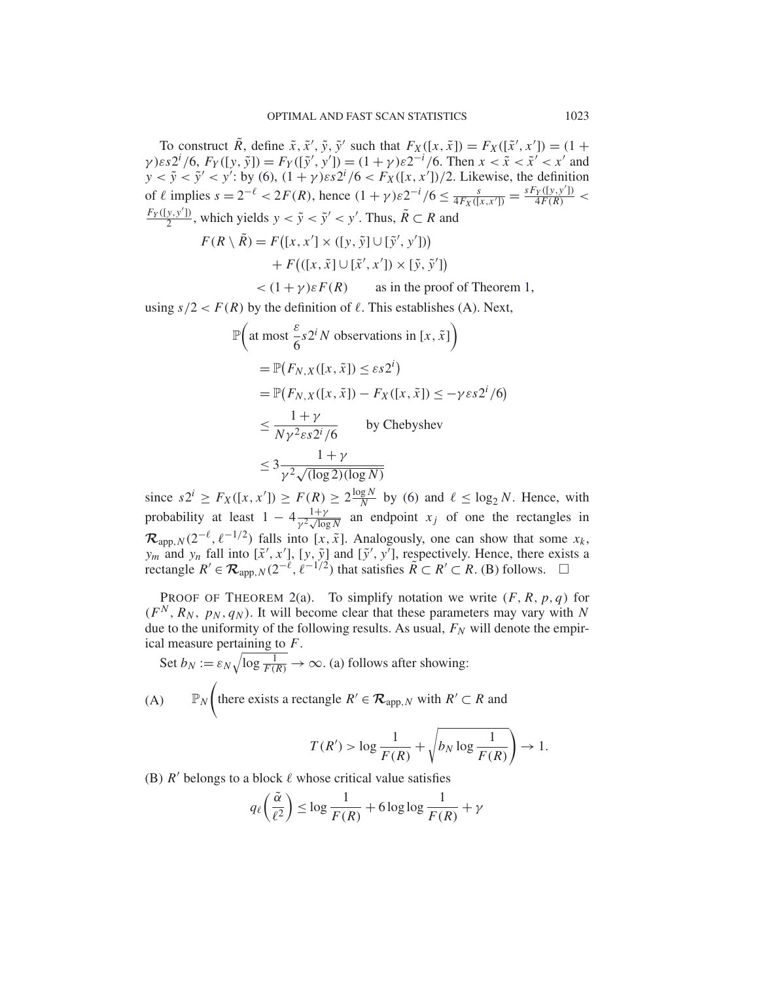To construct R, define  $\tilde{x}, \tilde{x}', \tilde{y}, \tilde{y}'$  such that  $F_X([x, \tilde{x}]) = F_X([\tilde{x}', x']) = (1 + \tilde{x}, \tilde{y}, \tilde{y}')$  $\gamma$ ) $\varepsilon s 2^{i}$  /6,  $F_Y([y, \tilde{y}]) = F_Y([\tilde{y}', y']) = (1 + \gamma) \varepsilon 2^{-i}$  /6. Then  $x < \tilde{x} < \tilde{x}' < x'$  and  $y < \tilde{y} < y' < y'$ : by (6),  $(1 + \gamma) \varepsilon s^2 / 6 < F_X([x, x'])/2$ . Likewise, the definition of  $\ell$  implies  $s = 2^{-\ell} < 2F(R)$ , hence  $(1 + \gamma)\varepsilon 2^{-i}/6 \leq \frac{s}{4F_X([x, x'])} = \frac{sF_Y([y, y'])}{4F(R)} <$  $\frac{F_Y([y,y'])}{2}$ , which yields  $y < \tilde{y} < \tilde{y}' < y'$ . Thus,  $\tilde{R} \subset R$  and

$$
F(R \setminus \tilde{R}) = F([x, x'] \times ([y, \tilde{y}] \cup [\tilde{y}', y'])+ F(([x, \tilde{x}] \cup [\tilde{x}', x']) \times [\tilde{y}, \tilde{y}'])
$$

 $\langle (1 + \gamma) \varepsilon F(R) \rangle$  as in the proof of Theorem 1,

using  $s/2 < F(R)$  by the definition of  $\ell$ . This establishes (A). Next,

$$
\mathbb{P}\left(\text{at most } \frac{\varepsilon}{6} s2^i N \text{ observations in } [x, \tilde{x}] \right)
$$
\n
$$
= \mathbb{P}\left(F_{N,X}([x, \tilde{x}]) \le \varepsilon s2^i\right)
$$
\n
$$
= \mathbb{P}\left(F_{N,X}([x, \tilde{x}]) - F_X([x, \tilde{x}]) \le -\gamma \varepsilon s2^i/6\right)
$$
\n
$$
\le \frac{1+\gamma}{N\gamma^2 \varepsilon s2^i/6} \qquad \text{by Chebyshev}
$$
\n
$$
\le 3\frac{1+\gamma}{\gamma^2 \sqrt{(\log 2)(\log N)}}
$$

since  $s2^i \ge F_X([x, x']) \ge F(R) \ge 2\frac{\log N}{N}$  by (6) and  $\ell \le \log_2 N$ . Hence, with probability at least  $1 - 4 \frac{1+\gamma}{\gamma^2 \sqrt{\log N}}$  an endpoint  $x_j$  of one the rectangles in  $\mathcal{R}_{\text{app},N}(2^{-\ell}, \ell^{-1/2})$  falls into [x,  $\tilde{x}$ ]. Analogously, one can show that some  $x_k$ ,  $y_m$  and  $y_n$  fall into  $[\tilde{x}', x']$ ,  $[y, \tilde{y}]$  and  $[\tilde{y}', y']$ , respectively. Hence, there exists a rectangle  $R' \in \mathcal{R}_{\text{app},N}(2^{-\ell}, \ell^{-1/2})$  that satisfies  $\widetilde{R} \subset R' \subset R$ . (B) follows.  $\Box$ 

PROOF OF THEOREM 2(a). To simplify notation we write  $(F, R, p, q)$  for  $(F<sup>N</sup>, R<sub>N</sub>, p<sub>N</sub>, q<sub>N</sub>)$ . It will become clear that these parameters may vary with N due to the uniformity of the following results. As usual,  $F_N$  will denote the empirical measure pertaining to F.

Set 
$$
b_N := \varepsilon_N \sqrt{\log \frac{1}{F(R)}} \to \infty
$$
. (a) follows after showing:  
\n(A)  $\mathbb{P}_N \left( \text{there exists a rectangle } R' \in \mathcal{R}_{\text{app}, N} \text{ with } R' \subset R \text{ and } \right)$ 

$$
T(R') > \log \frac{1}{F(R)} + \sqrt{b_N \log \frac{1}{F(R)}} \to 1.
$$

(B)  $R'$  belongs to a block  $\ell$  whose critical value satisfies

$$
q_{\ell}\left(\frac{\tilde{\alpha}}{\ell^2}\right) \le \log \frac{1}{F(R)} + 6\log \log \frac{1}{F(R)} + \gamma
$$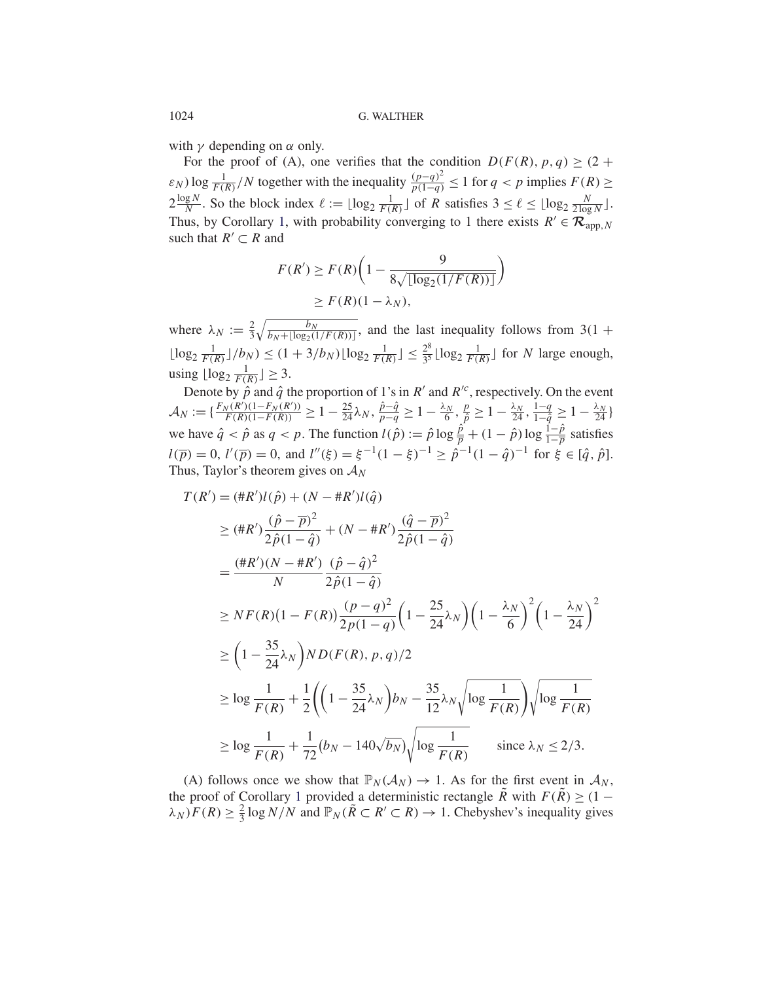with  $\gamma$  depending on  $\alpha$  only.

For the proof of (A), one verifies that the condition  $D(F(R), p, q) \geq (2 +$  $\varepsilon_N$ ) log  $\frac{1}{F(R)}/N$  together with the inequality  $\frac{(p-q)^2}{p(1-q)} \le 1$  for  $q < p$  implies  $F(R) \ge$  $2\frac{\log N}{N}$ . So the block index  $\ell := \lfloor \log_2 \frac{1}{F(R)} \rfloor$  of R satisfies  $3 \leq \ell \leq \lfloor \log_2 \frac{N}{2\log N} \rfloor$ . Thus, by Corollary 1, with probability converging to 1 there exists  $R' \in \mathcal{R}_{app,N}$ such that  $R' \subset R$  and

$$
F(R') \ge F(R)\left(1 - \frac{9}{8\sqrt{\lfloor \log_2(1/F(R)) \rfloor}}\right)
$$

$$
\ge F(R)(1 - \lambda_N),
$$

where  $\lambda_N := \frac{2}{3} \sqrt{\frac{b_N}{b_N + \lfloor \log_2(1) \rfloor}}$  $\frac{b_N}{b_N + \lfloor \log_2(1/F(R)) \rfloor}$ , and the last inequality follows from 3(1 +  $\lfloor \log_2 \frac{1}{F(R)} \rfloor / b_N$   $\leq (1 + 3/b_N) \lfloor \log_2 \frac{1}{F(R)} \rfloor \leq \frac{2^8}{3^5} \lfloor \log_2 \frac{1}{F(R)} \rfloor$  for N large enough, using  $\lfloor \log_2 \frac{1}{F(R)} \rfloor \geq 3$ .

Denote by  $\hat{p}$  and  $\hat{q}$  the proportion of 1's in R' and R'<sup>c</sup>, respectively. On the event  $A_N := \{ \frac{F_N(R')(1-F_N(R'))}{F(R)(1-F(R))} \geq 1 - \frac{25}{24} \lambda_N, \frac{\hat{p}-\hat{q}}{p-q} \geq 1 - \frac{\lambda_N}{6}, \frac{p}{\hat{p}} \geq 1 - \frac{\lambda_N}{24}, \frac{1-q}{1-\hat{q}} \geq 1 - \frac{\lambda_N}{24} \}$ we have  $\hat{q} < \hat{p}$  as  $q < p$ . The function  $l(\hat{p}) := \hat{p} \log \frac{\hat{p}}{p} + (1 - \hat{p}) \log \frac{1 - \hat{p}}{1 - \overline{p}}$  satisfies  $l(\overline{p}) = 0$ ,  $l'(\overline{p}) = 0$ , and  $l''(\xi) = \xi^{-1}(1 - \xi)^{-1} \ge \hat{p}^{-1}(1 - \hat{q})^{-1}$  for  $\xi \in [\hat{q}, \hat{p}]$ . Thus, Taylor's theorem gives on  $A_N$ 

$$
T(R') = (\#R')l(\hat{p}) + (N - \#R')l(\hat{q})
$$
  
\n
$$
\geq (\#R')\frac{(\hat{p} - \bar{p})^2}{2\hat{p}(1 - \hat{q})} + (N - \#R')\frac{(\hat{q} - \bar{p})^2}{2\hat{p}(1 - \hat{q})}
$$
  
\n
$$
= \frac{(\#R')(N - \#R')}{N} \frac{(\hat{p} - \hat{q})^2}{2\hat{p}(1 - \hat{q})}
$$
  
\n
$$
\geq NF(R)(1 - F(R))\frac{(p - q)^2}{2p(1 - q)}\left(1 - \frac{25}{24}\lambda_N\right)\left(1 - \frac{\lambda_N}{6}\right)^2\left(1 - \frac{\lambda_N}{24}\right)^2
$$
  
\n
$$
\geq \left(1 - \frac{35}{24}\lambda_N\right)ND(F(R), p, q)/2
$$
  
\n
$$
\geq \log \frac{1}{F(R)} + \frac{1}{2}\left(\left(1 - \frac{35}{24}\lambda_N\right)b_N - \frac{35}{12}\lambda_N\sqrt{\log \frac{1}{F(R)}}\right)\sqrt{\log \frac{1}{F(R)}}
$$
  
\n
$$
\geq \log \frac{1}{F(R)} + \frac{1}{72}(b_N - 140\sqrt{b_N})\sqrt{\log \frac{1}{F(R)}} \quad \text{since } \lambda_N \leq 2/3.
$$

(A) follows once we show that  $\mathbb{P}_N(\mathcal{A}_N) \to 1$ . As for the first event in  $\mathcal{A}_N$ , the proof of Corollary 1 provided a deterministic rectangle  $\tilde{R}$  with  $F(\tilde{R}) \geq (1 \lambda_N$ )  $F(R) \geq \frac{2}{3} \log N/N$  and  $\mathbb{P}_N(\tilde{R} \subset R' \subset R) \to 1$ . Chebyshev's inequality gives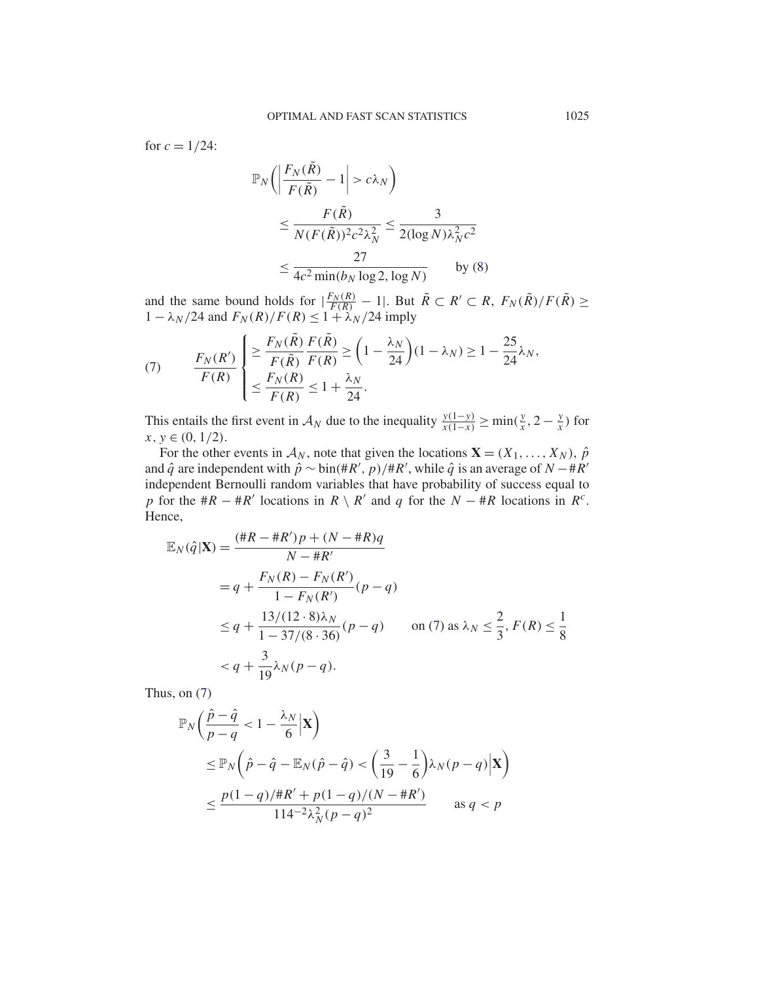for  $c = 1/24$ :

$$
\mathbb{P}_N\bigg(\bigg|\frac{F_N(\tilde{R})}{F(\tilde{R})} - 1\bigg| > c\lambda_N\bigg)
$$
  
\n
$$
\leq \frac{F(\tilde{R})}{N(F(\tilde{R}))^2 c^2 \lambda_N^2} \leq \frac{3}{2(\log N)\lambda_N^2 c^2}
$$
  
\n
$$
\leq \frac{27}{4c^2 \min(b_N \log 2, \log N)} \qquad \text{by (8)}
$$

and the same bound holds for  $|\frac{F_N(R)}{F(R)} - 1|$ . But  $\tilde{R} \subset R' \subset R$ ,  $F_N(\tilde{R})/F(\tilde{R}) \ge$  $1 - \lambda_N/24$  and  $F_N(R)/F(R) \leq 1 + \lambda_N/24$  imply

(7) 
$$
\frac{F_N(R')}{F(R)} \begin{cases} \ge \frac{F_N(\tilde{R})}{F(\tilde{R})} \frac{F(\tilde{R})}{F(R)} \ge \left(1 - \frac{\lambda_N}{24}\right)(1 - \lambda_N) \ge 1 - \frac{25}{24} \lambda_N, \\ \le \frac{F_N(R)}{F(R)} \le 1 + \frac{\lambda_N}{24}. \end{cases}
$$

This entails the first event in  $\mathcal{A}_N$  due to the inequality  $\frac{y(1-y)}{x(1-x)} \ge \min(\frac{y}{x}, 2 - \frac{y}{x})$  for  $x, y \in (0, 1/2)$ .

For the other events in  $A_N$ , note that given the locations  $\mathbf{X} = (X_1, \dots, X_N)$ ,  $\hat{p}$ and  $\hat{q}$  are independent with  $\hat{p} \sim bin(\#R', p)/\#R'$ , while  $\hat{q}$  is an average of  $N - \#R'$ independent Bernoulli random variables that have probability of success equal to p for the  $\#R - \#R'$  locations in  $R \setminus R'$  and q for the  $N - \#R$  locations in  $R^c$ . Hence,

$$
\mathbb{E}_N(\hat{q}|\mathbf{X}) = \frac{(\#R - \#R')p + (N - \#R)q}{N - \#R'}
$$
  
=  $q + \frac{F_N(R) - F_N(R')}{1 - F_N(R')} (p - q)$   
 $\leq q + \frac{13/(12 \cdot 8)\lambda_N}{1 - 37/(8 \cdot 36)} (p - q)$  on (7) as  $\lambda_N \leq \frac{2}{3}$ ,  $F(R) \leq \frac{1}{8}$   
 $< q + \frac{3}{19}\lambda_N(p - q)$ .

Thus, on (7)

$$
\mathbb{P}_N\left(\frac{\hat{p}-\hat{q}}{p-q} < 1 - \frac{\lambda_N}{6} \mathbf{X}\right)
$$
\n
$$
\leq \mathbb{P}_N\left(\hat{p}-\hat{q} - \mathbb{E}_N(\hat{p}-\hat{q}) < \left(\frac{3}{19} - \frac{1}{6}\right)\lambda_N(p-q)\mathbf{X}\right)
$$
\n
$$
\leq \frac{p(1-q)/\#R' + p(1-q)/(N-\#R')}{114^{-2}\lambda_N^2(p-q)^2} \qquad \text{as } q < p
$$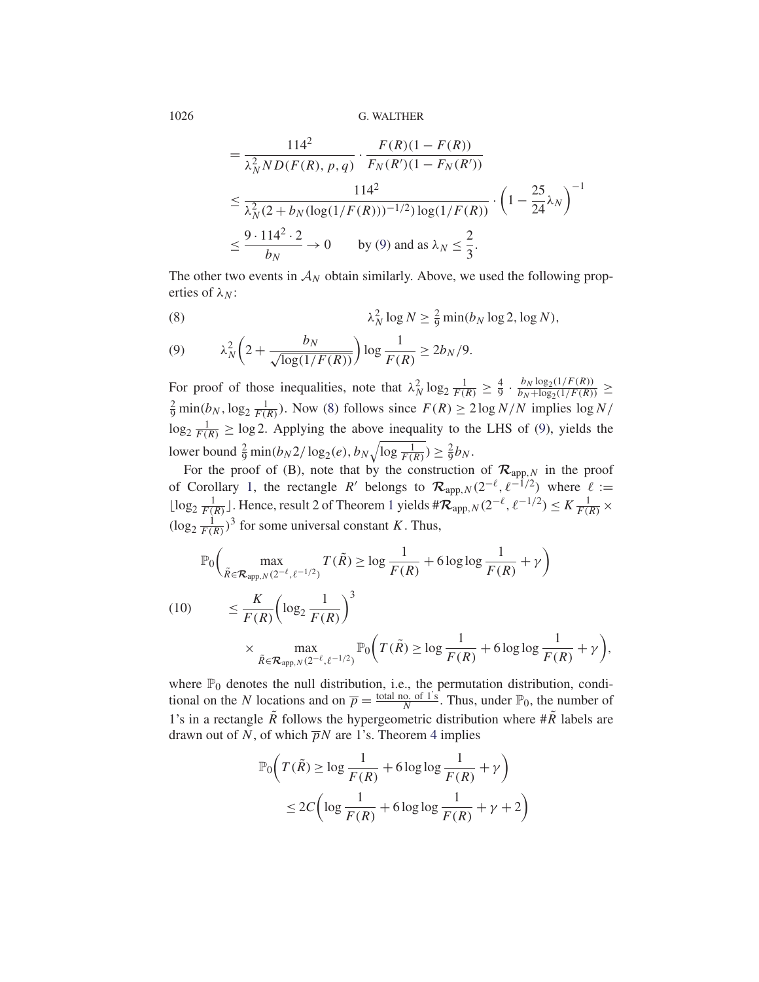1026 G. WALTHER

$$
= \frac{114^2}{\lambda_N^2 N D(F(R), p, q)} \cdot \frac{F(R)(1 - F(R))}{F_N(R')(1 - F_N(R'))}
$$
  

$$
\leq \frac{114^2}{\lambda_N^2 (2 + b_N (\log(1/F(R)))^{-1/2}) \log(1/F(R))} \cdot \left(1 - \frac{25}{24} \lambda_N\right)^{-1}
$$
  

$$
\leq \frac{9 \cdot 114^2 \cdot 2}{b_N} \to 0 \qquad \text{by (9) and as } \lambda_N \leq \frac{2}{3}.
$$

The other two events in  $A_N$  obtain similarly. Above, we used the following properties of  $\lambda_N$ :

(8) 
$$
\lambda_N^2 \log N \geq \frac{2}{9} \min(b_N \log 2, \log N),
$$

(9) 
$$
\lambda_N^2 \left( 2 + \frac{b_N}{\sqrt{\log(1/F(R))}} \right) \log \frac{1}{F(R)} \ge 2b_N/9.
$$

For proof of those inequalities, note that  $\lambda_N^2 \log_2 \frac{1}{F(R)} \geq \frac{4}{9} \cdot \frac{b_N \log_2(1/F(R))}{b_N + \log_2(1/F(R))} \geq$  $\frac{2}{9}$  min(b<sub>N</sub>, log<sub>2</sub>  $\frac{1}{F(R)}$ ). Now (8) follows since  $F(R) \ge 2 \log N/N$  implies  $\log N/N$  $\log_2 \frac{1}{F(R)} \ge \log 2$ . Applying the above inequality to the LHS of (9), yields the lower bound  $\frac{2}{9} \min(b_N 2 / \log_2(e), b_N \sqrt{\log \frac{1}{F(R)}}) \ge \frac{2}{9} b_N$ .

For the proof of (B), note that by the construction of  $\mathcal{R}_{app,N}$  in the proof of Corollary 1, the rectangle R' belongs to  $\mathcal{R}_{app,N}(2^{-\ell}, \ell^{-1/2})$  where  $\ell :=$ [log<sub>2</sub>  $\frac{1}{F(R)}$ ]. Hence, result 2 of Theorem 1 yields # $\mathcal{R}_{app,N}(2^{-\ell}, \ell^{-1/2}) \leq K \frac{1}{F(R)} \times$  $(\log_2 \frac{1}{F(R)})^3$  for some universal constant K. Thus,

$$
\mathbb{P}_0 \Big( \max_{\tilde{R} \in \mathcal{R}_{\text{app}, N}(2^{-\ell}, \ell^{-1/2})} T(\tilde{R}) \ge \log \frac{1}{F(R)} + 6 \log \log \frac{1}{F(R)} + \gamma \Big)
$$
  
(10) 
$$
\le \frac{K}{F(R)} \Big( \log_2 \frac{1}{F(R)} \Big)^3
$$

$$
\times \max_{\tilde{R} \in \mathcal{R}_{\text{app}, N}(2^{-\ell}, \ell^{-1/2})} \mathbb{P}_0 \Big( T(\tilde{R}) \ge \log \frac{1}{F(R)} + 6 \log \log \frac{1}{F(R)} + \gamma \Big)
$$

,

where  $\mathbb{P}_0$  denotes the null distribution, i.e., the permutation distribution, conditional on the N locations and on  $\overline{p} = \frac{\text{total no. of 1's}}{N}$ . Thus, under  $\mathbb{P}_0$ , the number of 1's in a rectangle  $\tilde{R}$  follows the hypergeometric distribution where  $\# \tilde{R}$  labels are drawn out of N, of which  $\overline{p}N$  are 1's. Theorem 4 implies

$$
\mathbb{P}_0\left(T(\tilde{R}) \ge \log \frac{1}{F(R)} + 6\log \log \frac{1}{F(R)} + \gamma\right)
$$
  
 
$$
\le 2C\left(\log \frac{1}{F(R)} + 6\log \log \frac{1}{F(R)} + \gamma + 2\right)
$$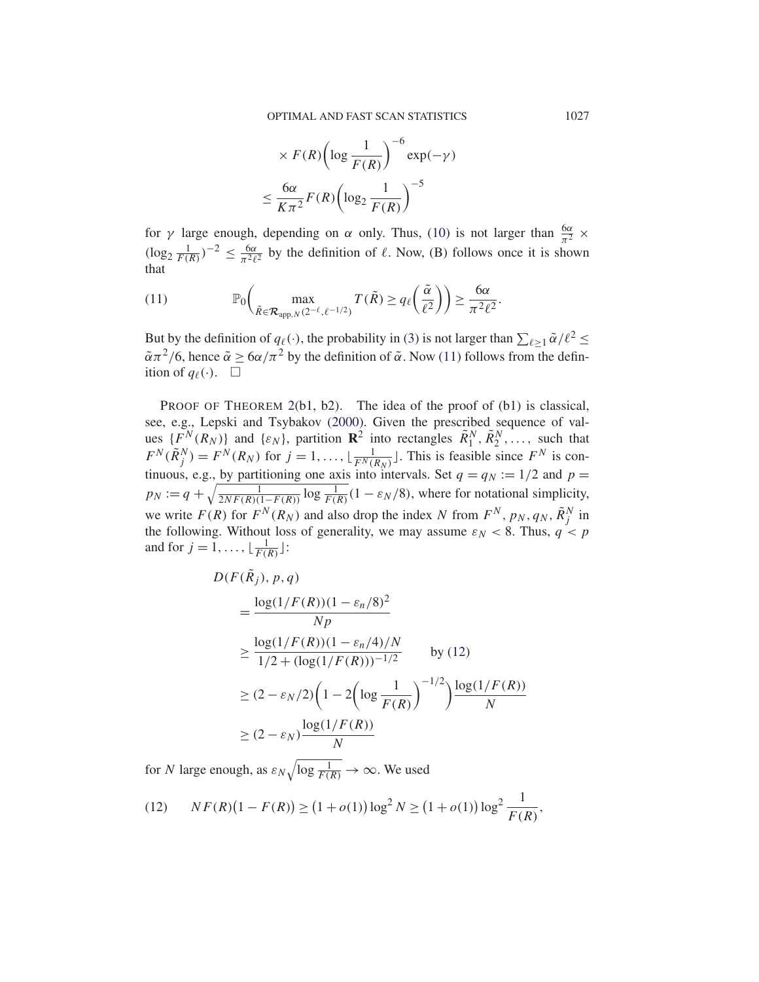$$
\times F(R) \left( \log \frac{1}{F(R)} \right)^{-6} \exp(-\gamma)
$$

$$
\leq \frac{6\alpha}{K\pi^2} F(R) \left( \log_2 \frac{1}{F(R)} \right)^{-5}
$$

for  $\gamma$  large enough, depending on  $\alpha$  only. Thus, (10) is not larger than  $\frac{6\alpha}{\pi^2} \times$  $(\log_2 \frac{1}{F(R)})^{-2} \leq \frac{6\alpha}{\pi^2 \ell^2}$  by the definition of  $\ell$ . Now, (B) follows once it is shown that

(11) 
$$
\mathbb{P}_0\bigg(\max_{\tilde{R}\in\mathcal{R}_{\text{app},N}(2^{-\ell},\ell^{-1/2})}T(\tilde{R})\geq q_\ell\bigg(\frac{\tilde{\alpha}}{\ell^2}\bigg)\bigg)\geq \frac{6\alpha}{\pi^2\ell^2}.
$$

But by the definition of  $q_{\ell}(\cdot)$ , the probability in (3) is not larger than  $\sum_{\ell \geq 1} \tilde{\alpha}/\ell^2 \leq$  $\tilde{\alpha}\pi^2/6$ , hence  $\tilde{\alpha} \ge 6\alpha/\pi^2$  by the definition of  $\tilde{\alpha}$ . Now (11) follows from the definition of  $q_{\ell}(\cdot)$ .  $\Box$ 

PROOF OF THEOREM 2(b1, b2). The idea of the proof of (b1) is classical, see, e.g., Lepski and Tsybakov (2000). Given the prescribed sequence of values  $\{F^N(R_N)\}\$  and  $\{\varepsilon_N\}$ , partition  $\mathbb{R}^2$  into rectangles  $\tilde{R}_1^N, \tilde{R}_2^N, \ldots$ , such that  $F^N(\tilde{R}_j^N) = F^N(R_N)$  for  $j = 1, ..., \lfloor \frac{1}{F^N(R_N)} \rfloor$ . This is feasible since  $F^N$  is continuous, e.g., by partitioning one axis into intervals. Set  $q = q_N := 1/2$  and  $p =$  $p_N := q + \sqrt{\frac{1}{2NF(R)(1-F(R))}} \log \frac{1}{F(R)} (1 - \varepsilon_N/8)$ , where for notational simplicity, we write  $F(R)$  for  $F^N(R_N)$  and also drop the index N from  $F^N$ ,  $p_N$ ,  $q_N$ ,  $\tilde{R}^N_j$  in the following. Without loss of generality, we may assume  $\varepsilon_N < 8$ . Thus,  $q < p$ and for  $j = 1, ..., \lfloor \frac{1}{F(R)} \rfloor$ :

$$
D(F(\tilde{R}_j), p, q)
$$
  
= 
$$
\frac{\log(1/F(R))(1 - \varepsilon_n/8)^2}{Np}
$$
  

$$
\geq \frac{\log(1/F(R))(1 - \varepsilon_n/4)/N}{1/2 + (\log(1/F(R)))^{-1/2}} \text{ by (12)}
$$
  

$$
\geq (2 - \varepsilon_N/2)\left(1 - 2\left(\log \frac{1}{F(R)}\right)^{-1/2}\right)\frac{\log(1/F(R))}{N}
$$
  

$$
\geq (2 - \varepsilon_N)\frac{\log(1/F(R))}{N}
$$

for N large enough, as  $\varepsilon_N \sqrt{\log \frac{1}{F(R)}} \to \infty$ . We used

(12) 
$$
NF(R)(1 - F(R)) \ge (1 + o(1))\log^2 N \ge (1 + o(1))\log^2 \frac{1}{F(R)},
$$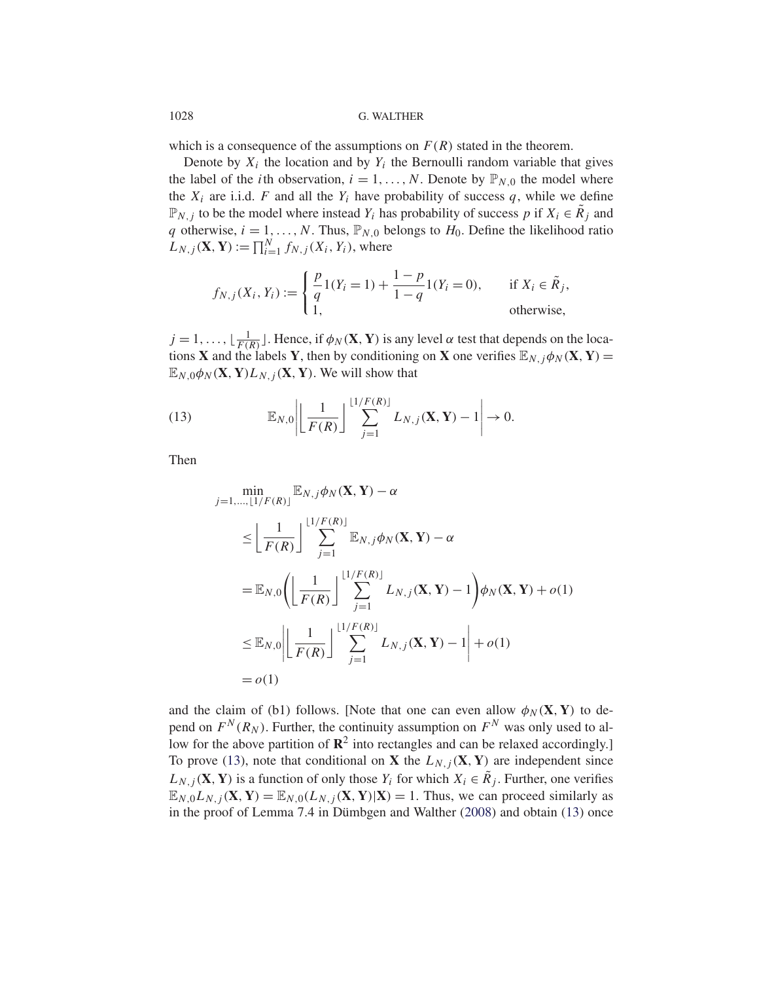## 1028 G. WALTHER

which is a consequence of the assumptions on  $F(R)$  stated in the theorem.

Denote by  $X_i$  the location and by  $Y_i$  the Bernoulli random variable that gives the label of the *i*th observation,  $i = 1, ..., N$ . Denote by  $\mathbb{P}_{N,0}$  the model where the  $X_i$  are i.i.d. F and all the  $Y_i$  have probability of success q, while we define  $\mathbb{P}_{N,j}$  to be the model where instead Y<sub>i</sub> has probability of success p if  $X_i \in \mathbb{R}_j$  and q otherwise,  $i = 1, ..., N$ . Thus,  $\mathbb{P}_{N,0}$  belongs to  $H_0$ . Define the likelihood ratio  $L_{N,j}(\mathbf{X}, \mathbf{Y}) := \prod_{i=1}^{N} f_{N,j}(X_i, Y_i)$ , where

$$
f_{N,j}(X_i, Y_i) := \begin{cases} \frac{p}{q} 1(Y_i = 1) + \frac{1-p}{1-q} 1(Y_i = 0), & \text{if } X_i \in \tilde{R}_j, \\ 1, & \text{otherwise,} \end{cases}
$$

 $j = 1, \ldots, \lfloor \frac{1}{F(R)} \rfloor$ . Hence, if  $\phi_N(\mathbf{X}, \mathbf{Y})$  is any level  $\alpha$  test that depends on the locations **X** and the labels **Y**, then by conditioning on **X** one verifies  $\mathbb{E}_{N, j} \phi_N(\mathbf{X}, \mathbf{Y}) =$  $\mathbb{E}_{N,0}\phi_N(\mathbf{X},\mathbf{Y})L_{N,1}(\mathbf{X},\mathbf{Y})$ . We will show that

(13) 
$$
\mathbb{E}_{N,0}\left|\left\lfloor\frac{1}{F(R)}\right\rfloor\sum_{j=1}^{\lfloor 1/F(R)\rfloor}L_{N,j}(\mathbf{X},\mathbf{Y})-1\right|\to 0.
$$

Then

$$
\begin{split}\n&\min_{j=1,\ldots,\lfloor 1/F(R)\rfloor} \mathbb{E}_{N,j} \phi_N(\mathbf{X}, \mathbf{Y}) - \alpha \\
&\leq \left\lfloor \frac{1}{F(R)} \right\rfloor \sum_{j=1}^{\lfloor 1/F(R) \rfloor} \mathbb{E}_{N,j} \phi_N(\mathbf{X}, \mathbf{Y}) - \alpha \\
&= \mathbb{E}_{N,0} \left( \left\lfloor \frac{1}{F(R)} \right\rfloor \sum_{j=1}^{\lfloor 1/F(R) \rfloor} L_{N,j}(\mathbf{X}, \mathbf{Y}) - 1 \right) \phi_N(\mathbf{X}, \mathbf{Y}) + o(1) \\
&\leq \mathbb{E}_{N,0} \left| \left\lfloor \frac{1}{F(R)} \right\rfloor \sum_{j=1}^{\lfloor 1/F(R) \rfloor} L_{N,j}(\mathbf{X}, \mathbf{Y}) - 1 \right| + o(1) \\
&= o(1)\n\end{split}
$$

and the claim of (b1) follows. [Note that one can even allow  $\phi_N(\mathbf{X}, \mathbf{Y})$  to depend on  $F^N(R_N)$ . Further, the continuity assumption on  $F^N$  was only used to allow for the above partition of  $\mathbb{R}^2$  into rectangles and can be relaxed accordingly.] To prove (13), note that conditional on **X** the  $L_{N,j}(\mathbf{X}, \mathbf{Y})$  are independent since  $L_{N, i}$  (**X**, **Y**) is a function of only those  $Y_i$  for which  $X_i \in \tilde{R}_i$ . Further, one verifies  $\mathbb{E}_{N,0}L_{N,j}(\mathbf{X}, \mathbf{Y}) = \mathbb{E}_{N,0}(L_{N,j}(\mathbf{X}, \mathbf{Y})|\mathbf{X}) = 1$ . Thus, we can proceed similarly as in the proof of Lemma 7.4 in Dümbgen and Walther (2008) and obtain (13) once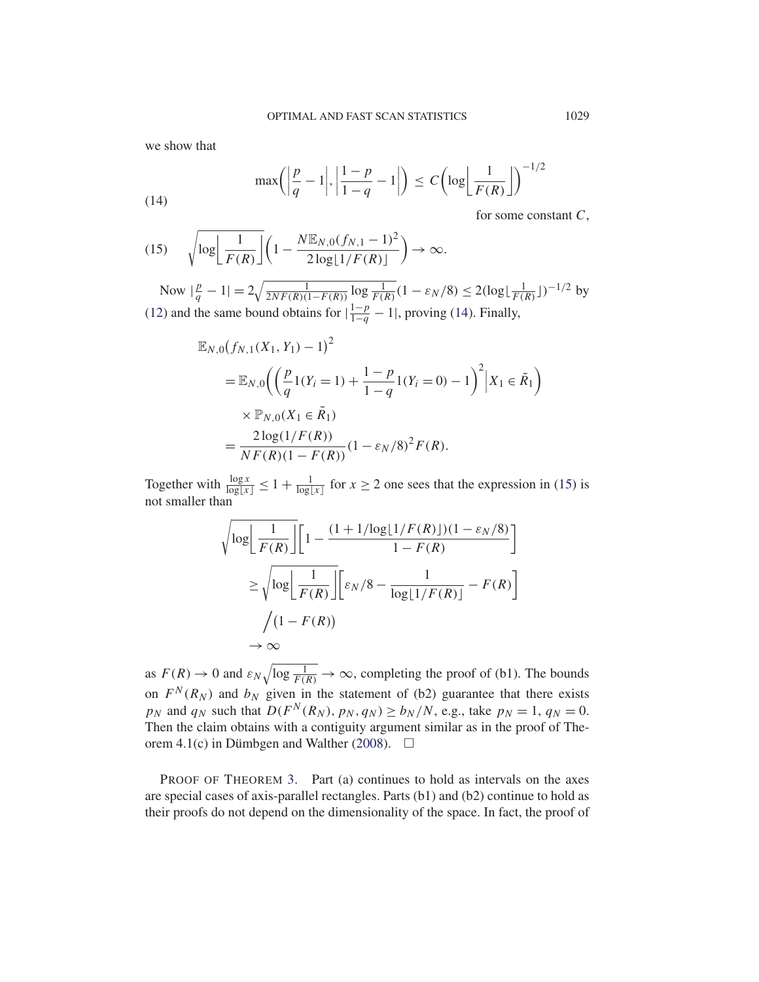we show that

(14) 
$$
\max\left(\left|\frac{p}{q}-1\right|,\left|\frac{1-p}{1-q}-1\right|\right) \leq C\left(\log\left(\frac{1}{F(R)}\right)\right)^{-1/2}
$$

for some constant  $C$ ,

(15) 
$$
\sqrt{\log \left( \frac{1}{F(R)} \right)} \left( 1 - \frac{N \mathbb{E}_{N,0} (f_{N,1} - 1)^2}{2 \log \left[ 1/F(R) \right]} \right) \to \infty.
$$

Now  $|\frac{p}{q} - 1| = 2\sqrt{\frac{1}{2NF(R)(1 - F(R))} \log \frac{1}{F(R)}} (1 - \varepsilon_N/8) \le 2(\log \lfloor \frac{1}{F(R)} \rfloor)^{-1/2}$  by (12) and the same bound obtains for  $\left|\frac{1-p}{1-q} - 1\right|$ , proving (14). Finally,

$$
\mathbb{E}_{N,0}(f_{N,1}(X_1, Y_1) - 1)^2
$$
\n
$$
= \mathbb{E}_{N,0}\left(\left(\frac{p}{q}1(Y_i = 1) + \frac{1-p}{1-q}1(Y_i = 0) - 1\right)^2 | X_1 \in \tilde{R}_1\right)
$$
\n
$$
\times \mathbb{P}_{N,0}(X_1 \in \tilde{R}_1)
$$
\n
$$
= \frac{2\log(1/F(R))}{NF(R)(1 - F(R))}(1 - \varepsilon_N/8)^2 F(R).
$$

Together with  $\frac{\log x}{\log |x|} \le 1 + \frac{1}{\log |x|}$  for  $x \ge 2$  one sees that the expression in (15) is not smaller than

$$
\sqrt{\log \left[ \frac{1}{F(R)} \right]} \left[ 1 - \frac{(1 + 1/\log \left[ 1/F(R) \right]) (1 - \varepsilon_N/8)}{1 - F(R)} \right]
$$

$$
\geq \sqrt{\log \left[ \frac{1}{F(R)} \right]} \left[ \varepsilon_N/8 - \frac{1}{\log \left[ 1/F(R) \right]} - F(R) \right]
$$

$$
/(1 - F(R))
$$

$$
\to \infty
$$

as  $F(R) \to 0$  and  $\varepsilon_N \sqrt{\log \frac{1}{F(R)}} \to \infty$ , completing the proof of (b1). The bounds on  $F^N(R_N)$  and  $b_N$  given in the statement of (b2) guarantee that there exists  $p_N$  and  $q_N$  such that  $D(F^N(R_N), p_N, q_N) \ge b_N/N$ , e.g., take  $p_N = 1$ ,  $q_N = 0$ . Then the claim obtains with a contiguity argument similar as in the proof of Theorem 4.1(c) in Dümbgen and Walther (2008).  $\Box$ 

PROOF OF THEOREM 3. Part (a) continues to hold as intervals on the axes are special cases of axis-parallel rectangles. Parts (b1) and (b2) continue to hold as their proofs do not depend on the dimensionality of the space. In fact, the proof of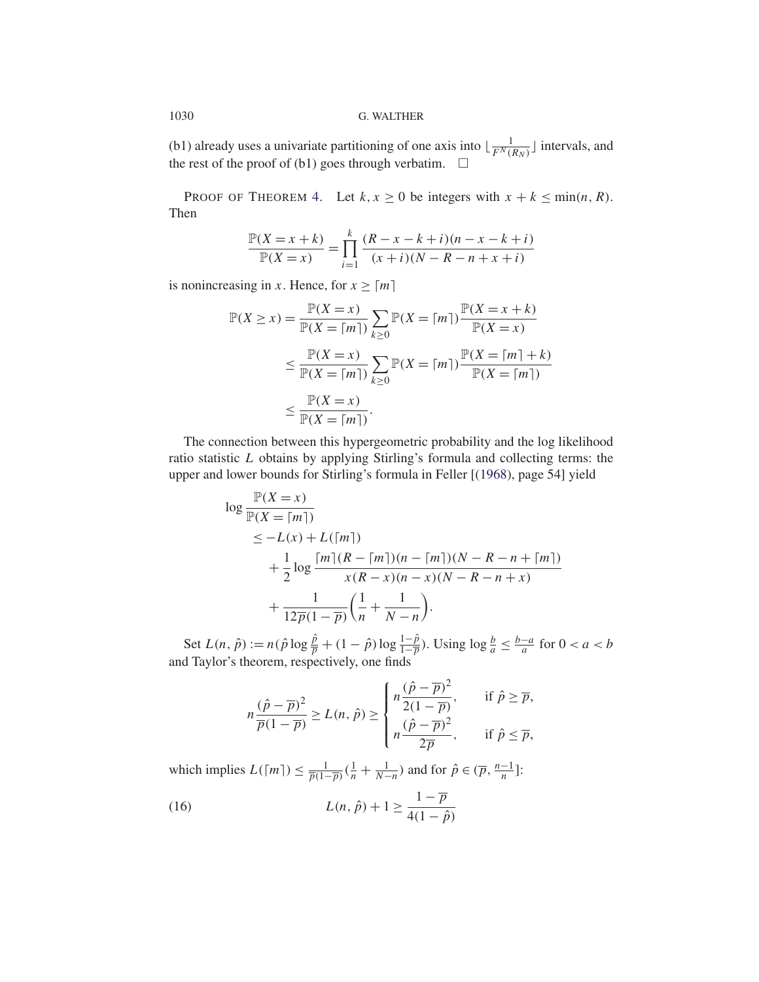(b1) already uses a univariate partitioning of one axis into  $\lfloor \frac{1}{F^N(R_N)} \rfloor$  intervals, and the rest of the proof of (b1) goes through verbatim.  $\Box$ 

PROOF OF THEOREM 4. Let  $k, x \ge 0$  be integers with  $x + k \le \min(n, R)$ . Then

$$
\frac{\mathbb{P}(X = x + k)}{\mathbb{P}(X = x)} = \prod_{i=1}^{k} \frac{(R - x - k + i)(n - x - k + i)}{(x + i)(N - R - n + x + i)}
$$

is nonincreasing in x. Hence, for  $x \geq \lceil m \rceil$ 

$$
\mathbb{P}(X \ge x) = \frac{\mathbb{P}(X = x)}{\mathbb{P}(X = \lceil m \rceil)} \sum_{k \ge 0} \mathbb{P}(X = \lceil m \rceil) \frac{\mathbb{P}(X = x + k)}{\mathbb{P}(X = x)}
$$
  

$$
\le \frac{\mathbb{P}(X = x)}{\mathbb{P}(X = \lceil m \rceil)} \sum_{k \ge 0} \mathbb{P}(X = \lceil m \rceil) \frac{\mathbb{P}(X = \lceil m \rceil + k)}{\mathbb{P}(X = \lceil m \rceil)}
$$
  

$$
\le \frac{\mathbb{P}(X = x)}{\mathbb{P}(X = \lceil m \rceil)}.
$$

The connection between this hypergeometric probability and the log likelihood ratio statistic L obtains by applying Stirling's formula and collecting terms: the upper and lower bounds for Stirling's formula in Feller [(1968), page 54] yield

$$
\log \frac{\mathbb{P}(X = x)}{\mathbb{P}(X = \lceil m \rceil)} \n\le -L(x) + L(\lceil m \rceil) \n+ \frac{1}{2} \log \frac{\lceil m \rceil (R - \lceil m \rceil)(n - \lceil m \rceil)(N - R - n + \lceil m \rceil)}{x(R - x)(n - x)(N - R - n + x)} \n+ \frac{1}{12\overline{p}(1 - \overline{p})} \left(\frac{1}{n} + \frac{1}{N - n}\right).
$$

Set  $L(n, \hat{p}) := n(\hat{p} \log \frac{\hat{p}}{p} + (1 - \hat{p}) \log \frac{1 - \hat{p}}{1 - \overline{p}})$ . Using  $\log \frac{b}{a} \le \frac{b - a}{a}$  for  $0 < a < b$ and Taylor's theorem, respectively, one finds

$$
n\frac{(\hat{p} - \overline{p})^2}{\overline{p}(1 - \overline{p})} \ge L(n, \hat{p}) \ge \begin{cases} n\frac{(\hat{p} - \overline{p})^2}{2(1 - \overline{p})}, & \text{if } \hat{p} \ge \overline{p}, \\ n\frac{(\hat{p} - \overline{p})^2}{2\overline{p}}, & \text{if } \hat{p} \le \overline{p}, \end{cases}
$$

which implies  $L([m]) \le \frac{1}{\overline{p}(1-\overline{p})}(\frac{1}{n} + \frac{1}{N-n})$  and for  $\hat{p} \in (\overline{p}, \frac{n-1}{n}]$ :

(16) 
$$
L(n, \hat{p}) + 1 \ge \frac{1 - \overline{p}}{4(1 - \hat{p})}
$$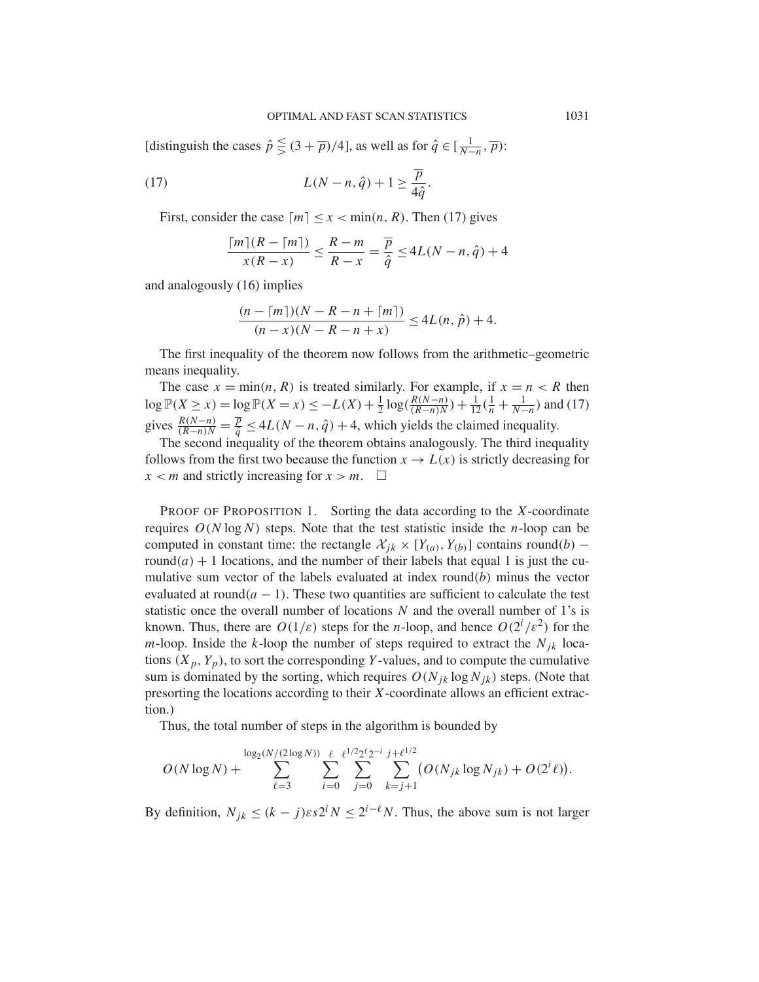[distinguish the cases  $\hat{p} \leq (3 + \overline{p})/4$ ], as well as for  $\hat{q} \in [\frac{1}{N-n}, \overline{p})$ :

(17) 
$$
L(N-n,\hat{q})+1 \geq \frac{\overline{p}}{4\hat{q}}.
$$

First, consider the case  $\lceil m \rceil \leq x < \min(n, R)$ . Then (17) gives

$$
\frac{\lceil m \rceil (R - \lceil m \rceil)}{x(R - x)} \le \frac{R - m}{R - x} = \frac{\overline{p}}{\hat{q}} \le 4L(N - n, \hat{q}) + 4
$$

and analogously (16) implies

$$
\frac{(n - \lceil m \rceil)(N - R - n + \lceil m \rceil)}{(n - x)(N - R - n + x)} \le 4L(n, \hat{p}) + 4.
$$

The first inequality of the theorem now follows from the arithmetic–geometric means inequality.

The case  $x = min(n, R)$  is treated similarly. For example, if  $x = n < R$  then  $\log \mathbb{P}(X \ge x) = \log \mathbb{P}(X = x) \le -L(X) + \frac{1}{2} \log(\frac{R(N-n)}{(R-n)N}) + \frac{1}{12}(\frac{1}{n} + \frac{1}{N-n})$  and (17) gives  $\frac{R(N-n)}{(R-n)N} = \frac{\overline{p}}{\hat{q}} \le 4L(N-n, \hat{q}) + 4$ , which yields the claimed inequality.

The second inequality of the theorem obtains analogously. The third inequality follows from the first two because the function  $x \to L(x)$  is strictly decreasing for  $x < m$  and strictly increasing for  $x > m$ .  $\Box$ 

**PROOF OF PROPOSITION 1.** Sorting the data according to the  $X$ -coordinate requires  $O(N \log N)$  steps. Note that the test statistic inside the *n*-loop can be computed in constant time: the rectangle  $\mathcal{X}_{ik} \times [Y_{(a)}, Y_{(b)}]$  contains round(b) – round(a)  $+1$  locations, and the number of their labels that equal 1 is just the cumulative sum vector of the labels evaluated at index round(b) minus the vector evaluated at round( $a - 1$ ). These two quantities are sufficient to calculate the test statistic once the overall number of locations  $N$  and the overall number of 1's is known. Thus, there are  $O(1/\varepsilon)$  steps for the *n*-loop, and hence  $O(2^i/\varepsilon^2)$  for the m-loop. Inside the k-loop the number of steps required to extract the  $N_{jk}$  locations  $(X_p, Y_p)$ , to sort the corresponding Y-values, and to compute the cumulative sum is dominated by the sorting, which requires  $O(N_{jk} \log N_{jk})$  steps. (Note that presorting the locations according to their X-coordinate allows an efficient extraction.)

Thus, the total number of steps in the algorithm is bounded by

$$
O(N \log N) + \sum_{\ell=3}^{\log_2(N/(2 \log N))} \sum_{i=0}^{\ell} \sum_{j=0}^{\ell^{1/2} 2^{\ell} 2^{-i}} \sum_{k=j+1}^{j+\ell^{1/2}} (O(N_{jk} \log N_{jk}) + O(2^{i} \ell)).
$$

By definition,  $N_{jk} \le (k - j) \varepsilon s 2^i N \le 2^{i-\ell} N$ . Thus, the above sum is not larger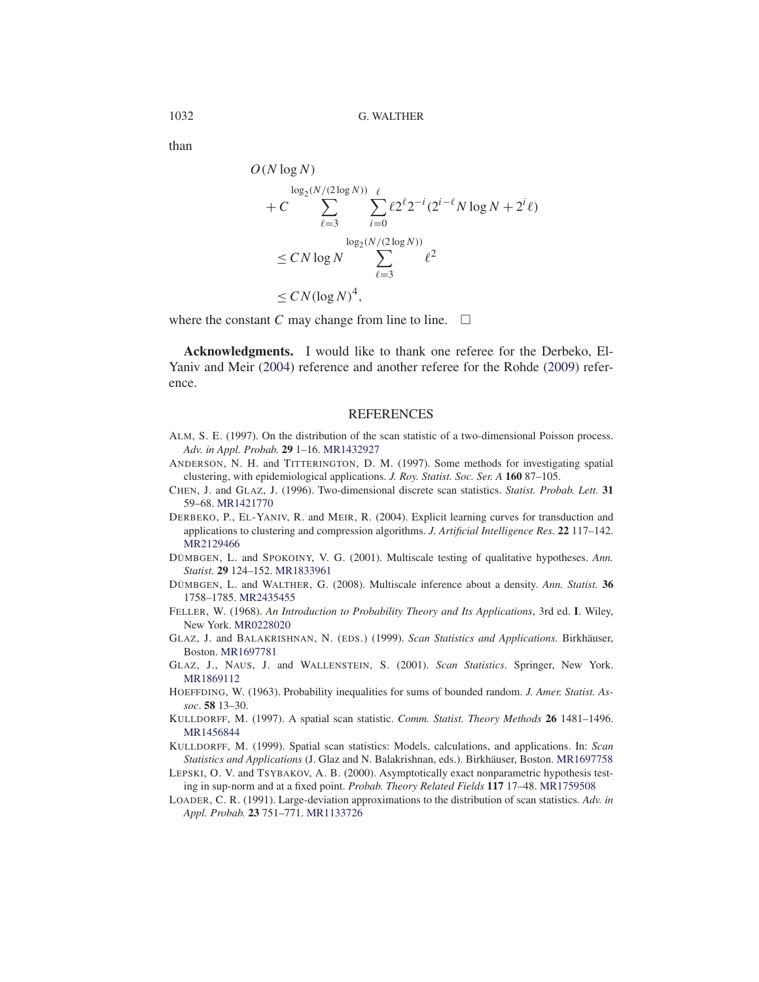than

$$
O(N \log N)
$$
  
\n
$$
+ C \sum_{\ell=3}^{\log_2(N/(2 \log N))} \sum_{i=0}^{\ell} \ell 2^{\ell} 2^{-i} (2^{i-\ell} N \log N + 2^{i} \ell)
$$
  
\n
$$
\leq C N \log N \sum_{\ell=3}^{\log_2(N/(2 \log N))} \ell^2
$$
  
\n
$$
\leq C N (\log N)^4,
$$

where the constant C may change from line to line.  $\Box$ 

**Acknowledgments.** I would like to thank one referee for the Derbeko, El-Yaniv and Meir (2004) reference and another referee for the Rohde (2009) reference.

### REFERENCES

- ALM, S. E. (1997). On the distribution of the scan statistic of a two-dimensional Poisson process. *Adv. in Appl. Probab.* **29** 1–16. MR1432927
- ANDERSON, N. H. and TITTERINGTON, D. M. (1997). Some methods for investigating spatial clustering, with epidemiological applications. *J. Roy. Statist. Soc. Ser. A* **160** 87–105.
- CHEN, J. and GLAZ, J. (1996). Two-dimensional discrete scan statistics. *Statist. Probab. Lett.* **31** 59–68. MR1421770
- DERBEKO, P., EL-YANIV, R. and MEIR, R. (2004). Explicit learning curves for transduction and applications to clustering and compression algorithms. *J. Artificial Intelligence Res.* **22** 117–142. MR2129466
- DÜMBGEN, L. and SPOKOINY, V. G. (2001). Multiscale testing of qualitative hypotheses. *Ann. Statist.* **29** 124–152. MR1833961
- DÜMBGEN, L. and WALTHER, G. (2008). Multiscale inference about a density. *Ann. Statist.* **36** 1758–1785. MR2435455
- FELLER, W. (1968). *An Introduction to Probability Theory and Its Applications*, 3rd ed. **I**. Wiley, New York. MR0228020
- GLAZ, J. and BALAKRISHNAN, N. (EDS.) (1999). *Scan Statistics and Applications.* Birkhäuser, Boston. MR1697781
- GLAZ, J., NAUS, J. and WALLENSTEIN, S. (2001). *Scan Statistics*. Springer, New York. MR1869112
- HOEFFDING, W. (1963). Probability inequalities for sums of bounded random. *J. Amer. Statist. Assoc*. **58** 13–30.
- KULLDORFF, M. (1997). A spatial scan statistic. *Comm. Statist. Theory Methods* **26** 1481–1496. MR1456844
- KULLDORFF, M. (1999). Spatial scan statistics: Models, calculations, and applications. In: *Scan Statistics and Applications* (J. Glaz and N. Balakrishnan, eds.). Birkhäuser, Boston. MR1697758
- LEPSKI, O. V. and TSYBAKOV, A. B. (2000). Asymptotically exact nonparametric hypothesis testing in sup-norm and at a fixed point. *Probab. Theory Related Fields* **117** 17–48. MR1759508
- LOADER, C. R. (1991). Large-deviation approximations to the distribution of scan statistics. *Adv. in Appl. Probab.* **23** 751–771. MR1133726